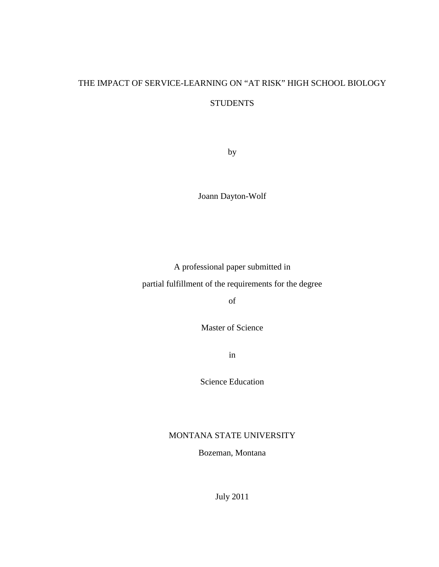# THE IMPACT OF SERVICE-LEARNING ON "AT RISK" HIGH SCHOOL BIOLOGY **STUDENTS**

by

Joann Dayton-Wolf

A professional paper submitted in

partial fulfillment of the requirements for the degree

of

Master of Science

in

Science Education

# MONTANA STATE UNIVERSITY

Bozeman, Montana

July 2011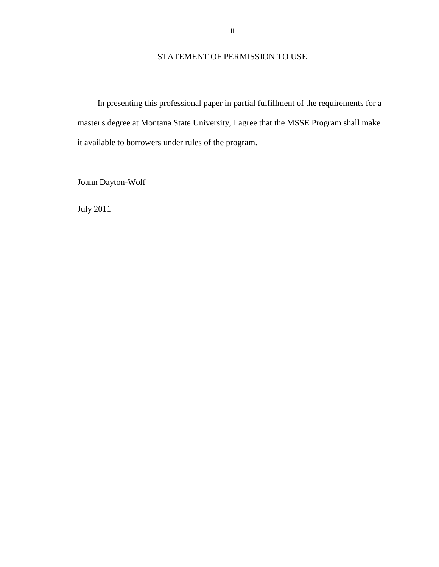# STATEMENT OF PERMISSION TO USE

In presenting this professional paper in partial fulfillment of the requirements for a master's degree at Montana State University, I agree that the MSSE Program shall make it available to borrowers under rules of the program.

Joann Dayton-Wolf

July 2011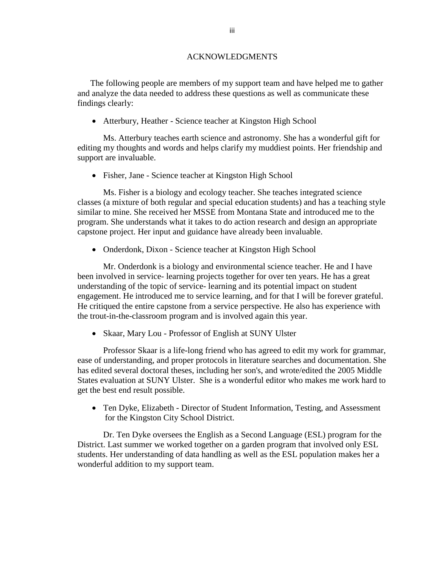#### ACKNOWLEDGMENTS

The following people are members of my support team and have helped me to gather and analyze the data needed to address these questions as well as communicate these findings clearly:

• Atterbury, Heather - Science teacher at Kingston High School

Ms. Atterbury teaches earth science and astronomy. She has a wonderful gift for editing my thoughts and words and helps clarify my muddiest points. Her friendship and support are invaluable.

• Fisher, Jane - Science teacher at Kingston High School

Ms. Fisher is a biology and ecology teacher. She teaches integrated science classes (a mixture of both regular and special education students) and has a teaching style similar to mine. She received her MSSE from Montana State and introduced me to the program. She understands what it takes to do action research and design an appropriate capstone project. Her input and guidance have already been invaluable.

• Onderdonk, Dixon - Science teacher at Kingston High School

Mr. Onderdonk is a biology and environmental science teacher. He and I have been involved in service- learning projects together for over ten years. He has a great understanding of the topic of service- learning and its potential impact on student engagement. He introduced me to service learning, and for that I will be forever grateful. He critiqued the entire capstone from a service perspective. He also has experience with the trout-in-the-classroom program and is involved again this year.

• Skaar, Mary Lou - Professor of English at SUNY Ulster

Professor Skaar is a life-long friend who has agreed to edit my work for grammar, ease of understanding, and proper protocols in literature searches and documentation. She has edited several doctoral theses, including her son's, and wrote/edited the 2005 Middle States evaluation at SUNY Ulster. She is a wonderful editor who makes me work hard to get the best end result possible.

• Ten Dyke, Elizabeth - Director of Student Information, Testing, and Assessment for the Kingston City School District.

Dr. Ten Dyke oversees the English as a Second Language (ESL) program for the District. Last summer we worked together on a garden program that involved only ESL students. Her understanding of data handling as well as the ESL population makes her a wonderful addition to my support team.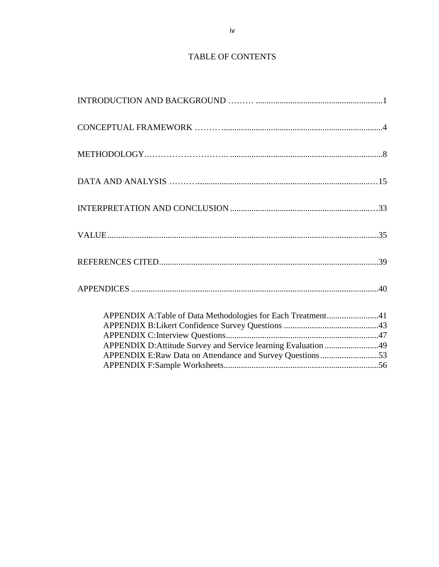# TABLE OF CONTENTS

| APPENDIX A:Table of Data Methodologies for Each Treatment41    |  |
|----------------------------------------------------------------|--|
| APPENDIX D: Attitude Survey and Service learning Evaluation 49 |  |
|                                                                |  |
|                                                                |  |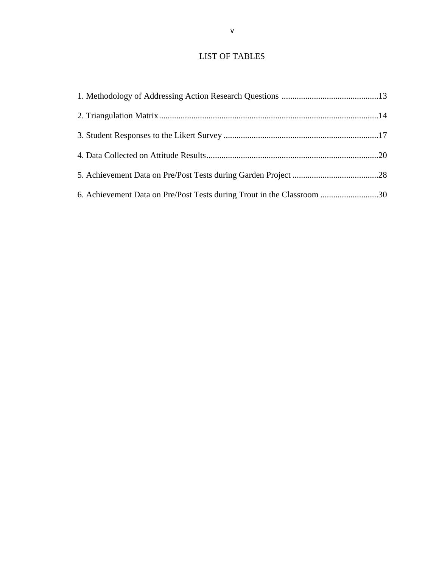# LIST OF TABLES

| 6. Achievement Data on Pre/Post Tests during Trout in the Classroom 30 |  |
|------------------------------------------------------------------------|--|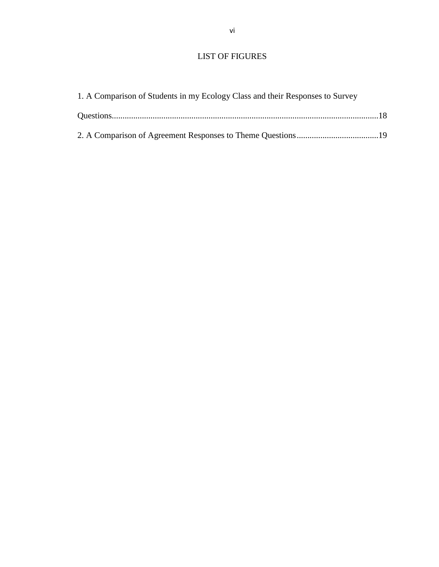# LIST OF FIGURES

| 1. A Comparison of Students in my Ecology Class and their Responses to Survey |  |
|-------------------------------------------------------------------------------|--|
|                                                                               |  |
|                                                                               |  |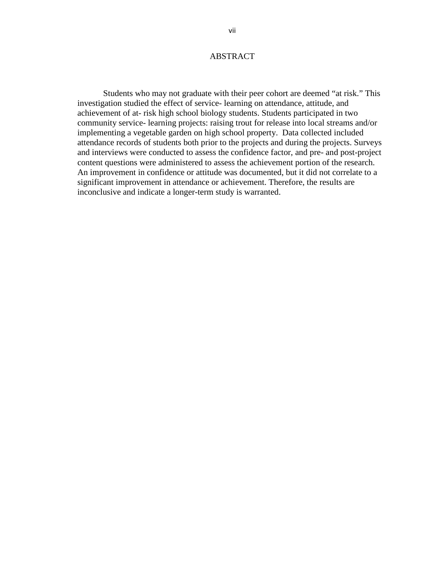### ABSTRACT

Students who may not graduate with their peer cohort are deemed "at risk." This investigation studied the effect of service- learning on attendance, attitude, and achievement of at- risk high school biology students. Students participated in two community service- learning projects: raising trout for release into local streams and/or implementing a vegetable garden on high school property. Data collected included attendance records of students both prior to the projects and during the projects. Surveys and interviews were conducted to assess the confidence factor, and pre- and post-project content questions were administered to assess the achievement portion of the research. An improvement in confidence or attitude was documented, but it did not correlate to a significant improvement in attendance or achievement. Therefore, the results are inconclusive and indicate a longer-term study is warranted.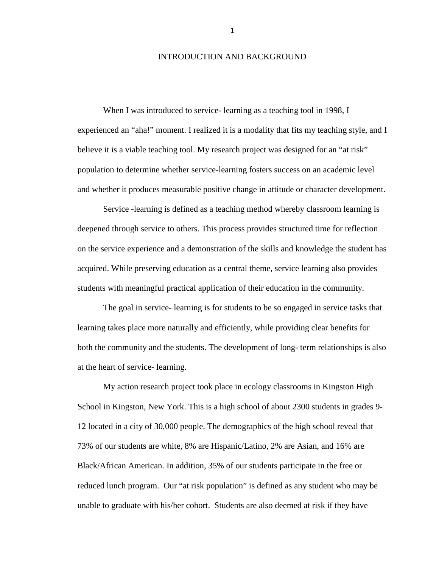#### INTRODUCTION AND BACKGROUND

When I was introduced to service- learning as a teaching tool in 1998, I experienced an "aha!" moment. I realized it is a modality that fits my teaching style, and I believe it is a viable teaching tool. My research project was designed for an "at risk" population to determine whether service-learning fosters success on an academic level and whether it produces measurable positive change in attitude or character development.

Service -learning is defined as a teaching method whereby classroom learning is deepened through service to others. This process provides structured time for reflection on the service experience and a demonstration of the skills and knowledge the student has acquired. While preserving education as a central theme, service learning also provides students with meaningful practical application of their education in the community.

The goal in service- learning is for students to be so engaged in service tasks that learning takes place more naturally and efficiently, while providing clear benefits for both the community and the students. The development of long- term relationships is also at the heart of service- learning.

My action research project took place in ecology classrooms in Kingston High School in Kingston, New York. This is a high school of about 2300 students in grades 9- 12 located in a city of 30,000 people. The demographics of the high school reveal that 73% of our students are white, 8% are Hispanic/Latino, 2% are Asian, and 16% are Black/African American. In addition, 35% of our students participate in the free or reduced lunch program. Our "at risk population" is defined as any student who may be unable to graduate with his/her cohort. Students are also deemed at risk if they have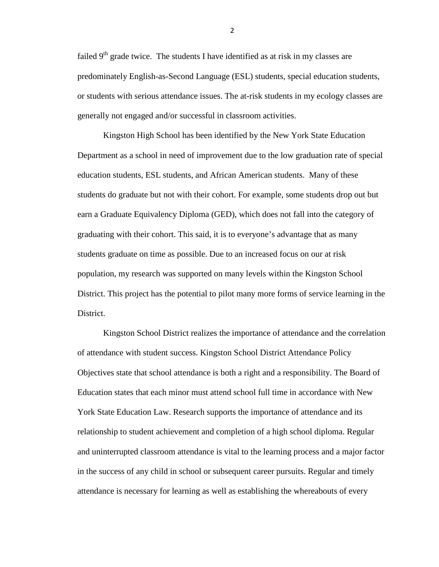failed  $9<sup>th</sup>$  grade twice. The students I have identified as at risk in my classes are predominately English-as-Second Language (ESL) students, special education students, or students with serious attendance issues. The at-risk students in my ecology classes are generally not engaged and/or successful in classroom activities.

Kingston High School has been identified by the New York State Education Department as a school in need of improvement due to the low graduation rate of special education students, ESL students, and African American students. Many of these students do graduate but not with their cohort. For example, some students drop out but earn a Graduate Equivalency Diploma (GED), which does not fall into the category of graduating with their cohort. This said, it is to everyone's advantage that as many students graduate on time as possible. Due to an increased focus on our at risk population, my research was supported on many levels within the Kingston School District. This project has the potential to pilot many more forms of service learning in the District.

Kingston School District realizes the importance of attendance and the correlation of attendance with student success. Kingston School District Attendance Policy Objectives state that school attendance is both a right and a responsibility. The Board of Education states that each minor must attend school full time in accordance with New York State Education Law. Research supports the importance of attendance and its relationship to student achievement and completion of a high school diploma. Regular and uninterrupted classroom attendance is vital to the learning process and a major factor in the success of any child in school or subsequent career pursuits. Regular and timely attendance is necessary for learning as well as establishing the whereabouts of every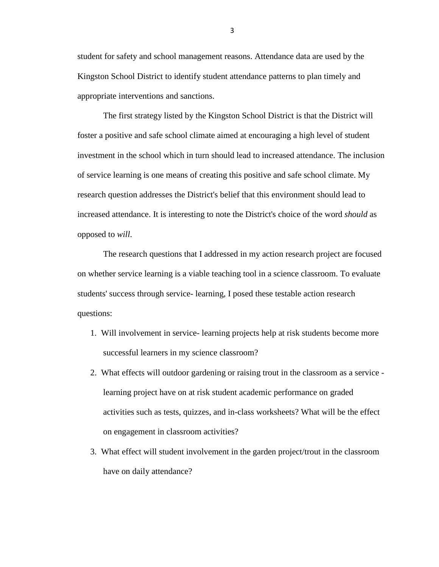student for safety and school management reasons. Attendance data are used by the Kingston School District to identify student attendance patterns to plan timely and appropriate interventions and sanctions.

The first strategy listed by the Kingston School District is that the District will foster a positive and safe school climate aimed at encouraging a high level of student investment in the school which in turn should lead to increased attendance. The inclusion of service learning is one means of creating this positive and safe school climate. My research question addresses the District's belief that this environment should lead to increased attendance. It is interesting to note the District's choice of the word *should* as opposed to *will*.

The research questions that I addressed in my action research project are focused on whether service learning is a viable teaching tool in a science classroom. To evaluate students' success through service- learning, I posed these testable action research questions:

- 1. Will involvement in service- learning projects help at risk students become more successful learners in my science classroom?
- 2. What effects will outdoor gardening or raising trout in the classroom as a service learning project have on at risk student academic performance on graded activities such as tests, quizzes, and in-class worksheets? What will be the effect on engagement in classroom activities?
- 3. What effect will student involvement in the garden project/trout in the classroom have on daily attendance?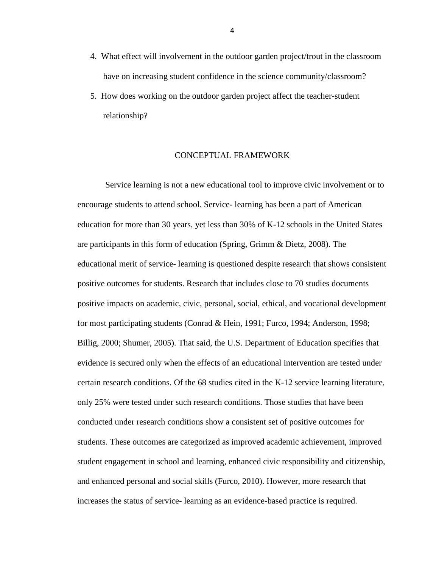- 4. What effect will involvement in the outdoor garden project/trout in the classroom have on increasing student confidence in the science community/classroom?
- 5. How does working on the outdoor garden project affect the teacher-student relationship?

### CONCEPTUAL FRAMEWORK

Service learning is not a new educational tool to improve civic involvement or to encourage students to attend school. Service- learning has been a part of American education for more than 30 years, yet less than 30% of K-12 schools in the United States are participants in this form of education (Spring, Grimm & Dietz, 2008). The educational merit of service- learning is questioned despite research that shows consistent positive outcomes for students. Research that includes close to 70 studies documents positive impacts on academic, civic, personal, social, ethical, and vocational development for most participating students (Conrad & Hein, 1991; Furco, 1994; Anderson, 1998; Billig, 2000; Shumer, 2005). That said, the U.S. Department of Education specifies that evidence is secured only when the effects of an educational intervention are tested under certain research conditions. Of the 68 studies cited in the K-12 service learning literature, only 25% were tested under such research conditions. Those studies that have been conducted under research conditions show a consistent set of positive outcomes for students. These outcomes are categorized as improved academic achievement, improved student engagement in school and learning, enhanced civic responsibility and citizenship, and enhanced personal and social skills (Furco, 2010). However, more research that increases the status of service- learning as an evidence-based practice is required.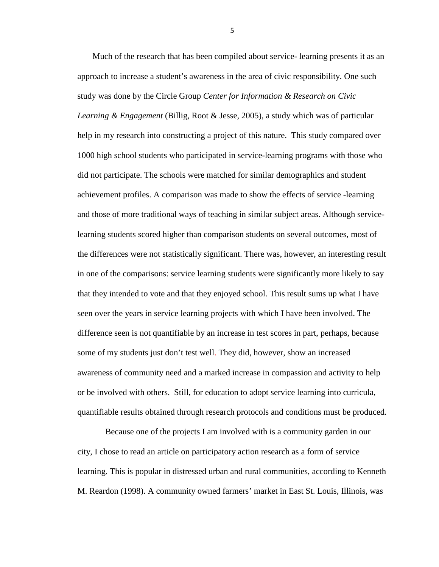Much of the research that has been compiled about service- learning presents it as an approach to increase a student's awareness in the area of civic responsibility. One such study was done by the Circle Group *Center for Information & Research on Civic Learning & Engagement* (Billig, Root & Jesse, 2005), a study which was of particular help in my research into constructing a project of this nature. This study compared over 1000 high school students who participated in service-learning programs with those who did not participate. The schools were matched for similar demographics and student achievement profiles. A comparison was made to show the effects of service -learning and those of more traditional ways of teaching in similar subject areas. Although servicelearning students scored higher than comparison students on several outcomes, most of the differences were not statistically significant. There was, however, an interesting result in one of the comparisons: service learning students were significantly more likely to say that they intended to vote and that they enjoyed school. This result sums up what I have seen over the years in service learning projects with which I have been involved. The difference seen is not quantifiable by an increase in test scores in part, perhaps, because some of my students just don't test well. They did, however, show an increased awareness of community need and a marked increase in compassion and activity to help or be involved with others. Still, for education to adopt service learning into curricula, quantifiable results obtained through research protocols and conditions must be produced.

Because one of the projects I am involved with is a community garden in our city, I chose to read an article on participatory action research as a form of service learning. This is popular in distressed urban and rural communities, according to Kenneth M. Reardon (1998). A community owned farmers' market in East St. Louis, Illinois, was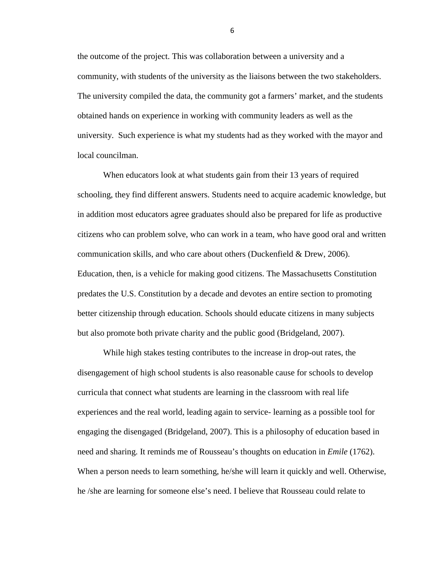the outcome of the project. This was collaboration between a university and a community, with students of the university as the liaisons between the two stakeholders. The university compiled the data, the community got a farmers' market, and the students obtained hands on experience in working with community leaders as well as the university. Such experience is what my students had as they worked with the mayor and local councilman.

When educators look at what students gain from their 13 years of required schooling, they find different answers. Students need to acquire academic knowledge, but in addition most educators agree graduates should also be prepared for life as productive citizens who can problem solve, who can work in a team, who have good oral and written communication skills, and who care about others (Duckenfield & Drew, 2006). Education, then, is a vehicle for making good citizens. The Massachusetts Constitution predates the U.S. Constitution by a decade and devotes an entire section to promoting better citizenship through education. Schools should educate citizens in many subjects but also promote both private charity and the public good (Bridgeland, 2007).

While high stakes testing contributes to the increase in drop-out rates, the disengagement of high school students is also reasonable cause for schools to develop curricula that connect what students are learning in the classroom with real life experiences and the real world, leading again to service- learning as a possible tool for engaging the disengaged (Bridgeland, 2007). This is a philosophy of education based in need and sharing. It reminds me of Rousseau's thoughts on education in *Emile* (1762). When a person needs to learn something, he/she will learn it quickly and well. Otherwise, he /she are learning for someone else's need. I believe that Rousseau could relate to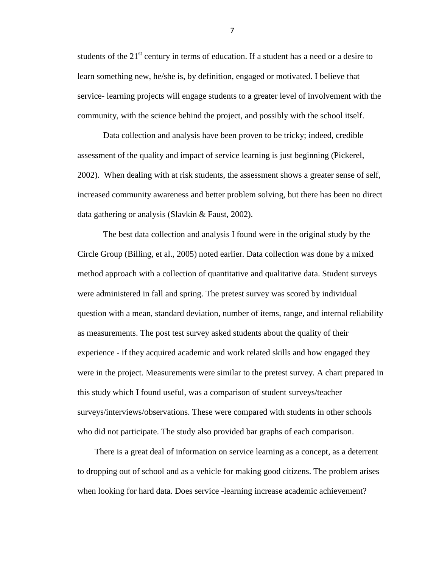students of the  $21<sup>st</sup>$  century in terms of education. If a student has a need or a desire to learn something new, he/she is, by definition, engaged or motivated. I believe that service- learning projects will engage students to a greater level of involvement with the community, with the science behind the project, and possibly with the school itself.

Data collection and analysis have been proven to be tricky; indeed, credible assessment of the quality and impact of service learning is just beginning (Pickerel, 2002). When dealing with at risk students, the assessment shows a greater sense of self, increased community awareness and better problem solving, but there has been no direct data gathering or analysis (Slavkin & Faust, 2002).

The best data collection and analysis I found were in the original study by the Circle Group (Billing, et al., 2005) noted earlier. Data collection was done by a mixed method approach with a collection of quantitative and qualitative data. Student surveys were administered in fall and spring. The pretest survey was scored by individual question with a mean, standard deviation, number of items, range, and internal reliability as measurements. The post test survey asked students about the quality of their experience - if they acquired academic and work related skills and how engaged they were in the project. Measurements were similar to the pretest survey. A chart prepared in this study which I found useful, was a comparison of student surveys/teacher surveys/interviews/observations. These were compared with students in other schools who did not participate. The study also provided bar graphs of each comparison.

 There is a great deal of information on service learning as a concept, as a deterrent to dropping out of school and as a vehicle for making good citizens. The problem arises when looking for hard data. Does service -learning increase academic achievement?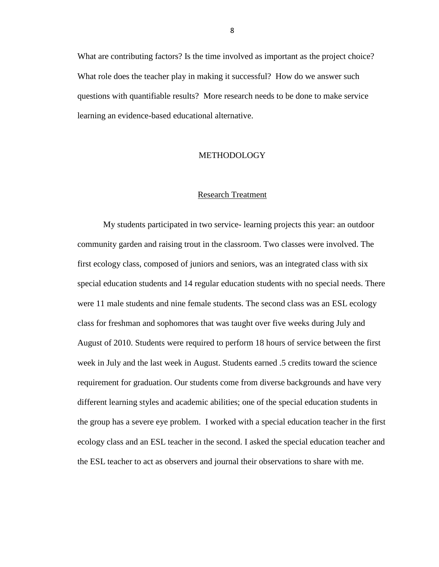What are contributing factors? Is the time involved as important as the project choice? What role does the teacher play in making it successful? How do we answer such questions with quantifiable results? More research needs to be done to make service learning an evidence-based educational alternative.

#### METHODOLOGY

#### Research Treatment

My students participated in two service- learning projects this year: an outdoor community garden and raising trout in the classroom. Two classes were involved. The first ecology class, composed of juniors and seniors, was an integrated class with six special education students and 14 regular education students with no special needs. There were 11 male students and nine female students. The second class was an ESL ecology class for freshman and sophomores that was taught over five weeks during July and August of 2010. Students were required to perform 18 hours of service between the first week in July and the last week in August. Students earned .5 credits toward the science requirement for graduation. Our students come from diverse backgrounds and have very different learning styles and academic abilities; one of the special education students in the group has a severe eye problem. I worked with a special education teacher in the first ecology class and an ESL teacher in the second. I asked the special education teacher and the ESL teacher to act as observers and journal their observations to share with me.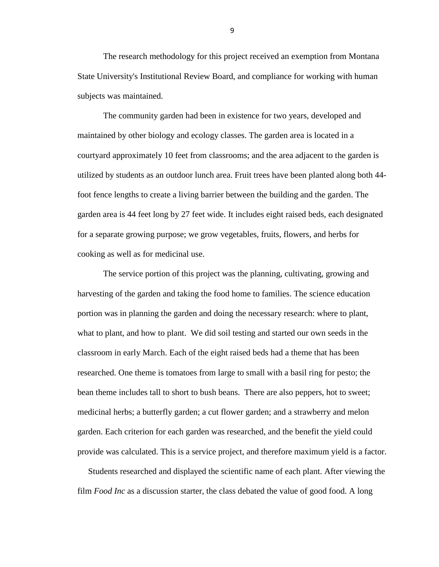The research methodology for this project received an exemption from Montana State University's Institutional Review Board, and compliance for working with human subjects was maintained.

The community garden had been in existence for two years, developed and maintained by other biology and ecology classes. The garden area is located in a courtyard approximately 10 feet from classrooms; and the area adjacent to the garden is utilized by students as an outdoor lunch area. Fruit trees have been planted along both 44 foot fence lengths to create a living barrier between the building and the garden. The garden area is 44 feet long by 27 feet wide. It includes eight raised beds, each designated for a separate growing purpose; we grow vegetables, fruits, flowers, and herbs for cooking as well as for medicinal use.

The service portion of this project was the planning, cultivating, growing and harvesting of the garden and taking the food home to families. The science education portion was in planning the garden and doing the necessary research: where to plant, what to plant, and how to plant. We did soil testing and started our own seeds in the classroom in early March. Each of the eight raised beds had a theme that has been researched. One theme is tomatoes from large to small with a basil ring for pesto; the bean theme includes tall to short to bush beans. There are also peppers, hot to sweet; medicinal herbs; a butterfly garden; a cut flower garden; and a strawberry and melon garden. Each criterion for each garden was researched, and the benefit the yield could provide was calculated. This is a service project, and therefore maximum yield is a factor.

 Students researched and displayed the scientific name of each plant. After viewing the film *Food Inc* as a discussion starter, the class debated the value of good food. A long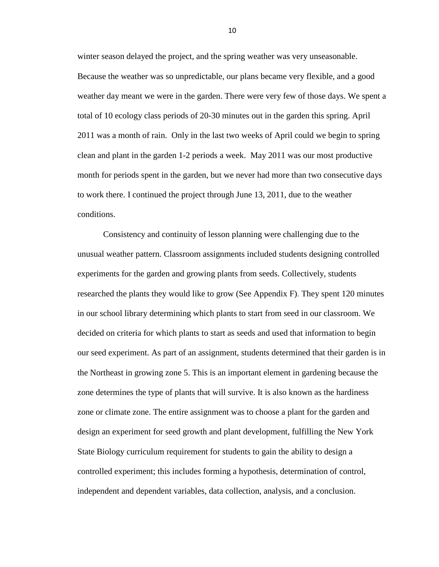winter season delayed the project, and the spring weather was very unseasonable. Because the weather was so unpredictable, our plans became very flexible, and a good weather day meant we were in the garden. There were very few of those days. We spent a total of 10 ecology class periods of 20-30 minutes out in the garden this spring. April 2011 was a month of rain. Only in the last two weeks of April could we begin to spring clean and plant in the garden 1-2 periods a week. May 2011 was our most productive month for periods spent in the garden, but we never had more than two consecutive days to work there. I continued the project through June 13, 2011, due to the weather conditions.

Consistency and continuity of lesson planning were challenging due to the unusual weather pattern. Classroom assignments included students designing controlled experiments for the garden and growing plants from seeds. Collectively, students researched the plants they would like to grow (See Appendix F). They spent 120 minutes in our school library determining which plants to start from seed in our classroom. We decided on criteria for which plants to start as seeds and used that information to begin our seed experiment. As part of an assignment, students determined that their garden is in the Northeast in growing zone 5. This is an important element in gardening because the zone determines the type of plants that will survive. It is also known as the hardiness zone or climate zone. The entire assignment was to choose a plant for the garden and design an experiment for seed growth and plant development, fulfilling the New York State Biology curriculum requirement for students to gain the ability to design a controlled experiment; this includes forming a hypothesis, determination of control, independent and dependent variables, data collection, analysis, and a conclusion.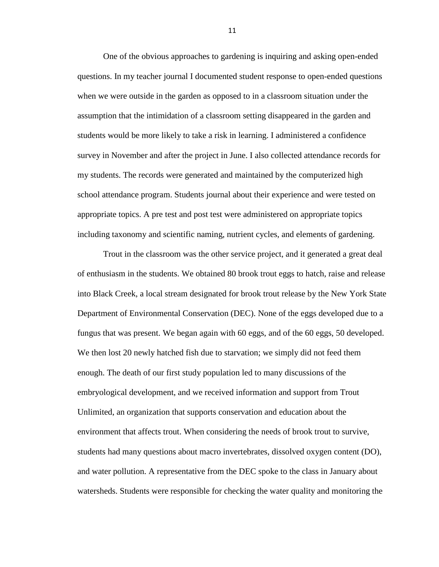One of the obvious approaches to gardening is inquiring and asking open-ended questions. In my teacher journal I documented student response to open-ended questions when we were outside in the garden as opposed to in a classroom situation under the assumption that the intimidation of a classroom setting disappeared in the garden and students would be more likely to take a risk in learning. I administered a confidence survey in November and after the project in June. I also collected attendance records for my students. The records were generated and maintained by the computerized high school attendance program. Students journal about their experience and were tested on appropriate topics. A pre test and post test were administered on appropriate topics including taxonomy and scientific naming, nutrient cycles, and elements of gardening.

Trout in the classroom was the other service project, and it generated a great deal of enthusiasm in the students. We obtained 80 brook trout eggs to hatch, raise and release into Black Creek, a local stream designated for brook trout release by the New York State Department of Environmental Conservation (DEC). None of the eggs developed due to a fungus that was present. We began again with 60 eggs, and of the 60 eggs, 50 developed. We then lost 20 newly hatched fish due to starvation; we simply did not feed them enough. The death of our first study population led to many discussions of the embryological development, and we received information and support from Trout Unlimited, an organization that supports conservation and education about the environment that affects trout. When considering the needs of brook trout to survive, students had many questions about macro invertebrates, dissolved oxygen content (DO), and water pollution. A representative from the DEC spoke to the class in January about watersheds. Students were responsible for checking the water quality and monitoring the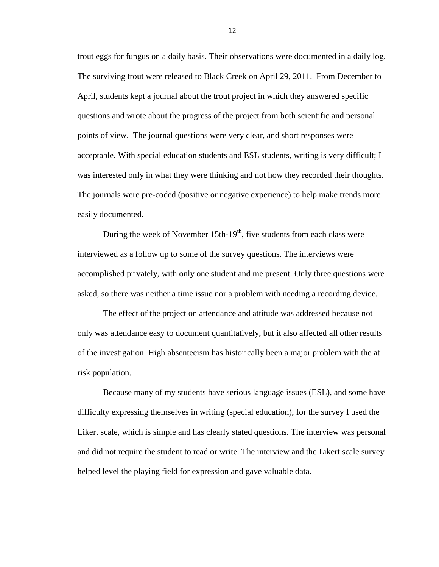trout eggs for fungus on a daily basis. Their observations were documented in a daily log. The surviving trout were released to Black Creek on April 29, 2011. From December to April, students kept a journal about the trout project in which they answered specific questions and wrote about the progress of the project from both scientific and personal points of view. The journal questions were very clear, and short responses were acceptable. With special education students and ESL students, writing is very difficult; I was interested only in what they were thinking and not how they recorded their thoughts. The journals were pre-coded (positive or negative experience) to help make trends more easily documented.

During the week of November  $15th-19<sup>th</sup>$ , five students from each class were interviewed as a follow up to some of the survey questions. The interviews were accomplished privately, with only one student and me present. Only three questions were asked, so there was neither a time issue nor a problem with needing a recording device.

The effect of the project on attendance and attitude was addressed because not only was attendance easy to document quantitatively, but it also affected all other results of the investigation. High absenteeism has historically been a major problem with the at risk population.

Because many of my students have serious language issues (ESL), and some have difficulty expressing themselves in writing (special education), for the survey I used the Likert scale, which is simple and has clearly stated questions. The interview was personal and did not require the student to read or write. The interview and the Likert scale survey helped level the playing field for expression and gave valuable data.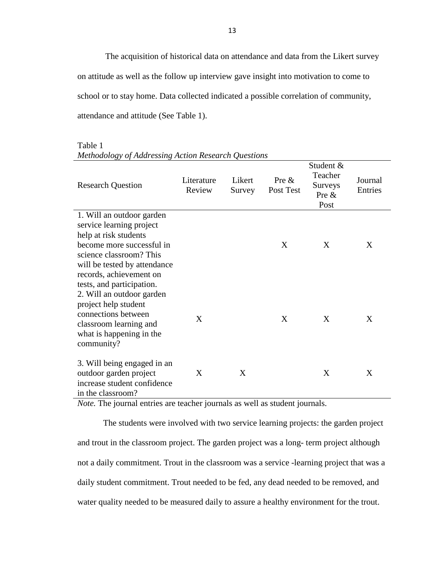The acquisition of historical data on attendance and data from the Likert survey on attitude as well as the follow up interview gave insight into motivation to come to school or to stay home. Data collected indicated a possible correlation of community, attendance and attitude (See Table 1).

| <b>Research Question</b>                                                                                                                                                                                                       | Literature<br>Review | Likert<br>Survey | Pre $\&$<br>Post Test | Student &<br>Teacher<br>Surveys<br>Pre $\&$<br>Post | Journal<br>Entries |
|--------------------------------------------------------------------------------------------------------------------------------------------------------------------------------------------------------------------------------|----------------------|------------------|-----------------------|-----------------------------------------------------|--------------------|
| 1. Will an outdoor garden<br>service learning project<br>help at risk students<br>become more successful in<br>science classroom? This<br>will be tested by attendance<br>records, achievement on<br>tests, and participation. |                      |                  | X                     | X                                                   | X                  |
| 2. Will an outdoor garden<br>project help student<br>connections between<br>classroom learning and<br>what is happening in the<br>community?                                                                                   | X                    |                  | X                     | X                                                   | X                  |
| 3. Will being engaged in an<br>outdoor garden project<br>increase student confidence<br>in the classroom?                                                                                                                      | X                    | X                |                       | X                                                   | X                  |

Table 1 *Methodology of Addressing Action Research Questions*

*Note*. The journal entries are teacher journals as well as student journals.

The students were involved with two service learning projects: the garden project and trout in the classroom project. The garden project was a long- term project although not a daily commitment. Trout in the classroom was a service -learning project that was a daily student commitment. Trout needed to be fed, any dead needed to be removed, and water quality needed to be measured daily to assure a healthy environment for the trout.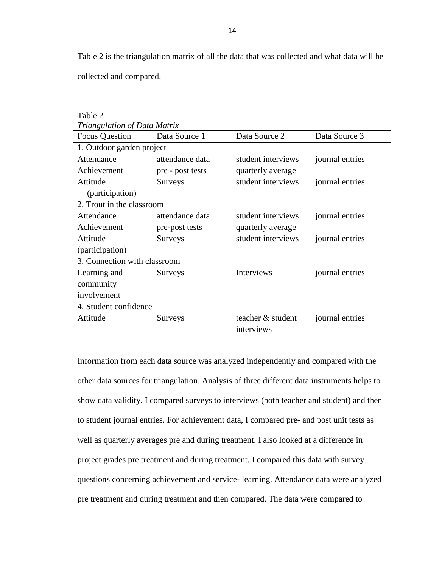Table 2 is the triangulation matrix of all the data that was collected and what data will be collected and compared.

| Table 2                      |                  |                    |                 |  |  |  |  |  |
|------------------------------|------------------|--------------------|-----------------|--|--|--|--|--|
| Triangulation of Data Matrix |                  |                    |                 |  |  |  |  |  |
| <b>Focus Question</b>        | Data Source 1    | Data Source 2      | Data Source 3   |  |  |  |  |  |
| 1. Outdoor garden project    |                  |                    |                 |  |  |  |  |  |
| Attendance                   | attendance data  | student interviews | journal entries |  |  |  |  |  |
| Achievement                  | pre - post tests | quarterly average  |                 |  |  |  |  |  |
| Attitude                     | <b>Surveys</b>   | student interviews | journal entries |  |  |  |  |  |
| (participation)              |                  |                    |                 |  |  |  |  |  |
| 2. Trout in the classroom    |                  |                    |                 |  |  |  |  |  |
| Attendance                   | attendance data  | student interviews | journal entries |  |  |  |  |  |
| Achievement                  | pre-post tests   | quarterly average  |                 |  |  |  |  |  |
| Attitude                     | <b>Surveys</b>   | student interviews | journal entries |  |  |  |  |  |
| (participation)              |                  |                    |                 |  |  |  |  |  |
| 3. Connection with classroom |                  |                    |                 |  |  |  |  |  |
| Learning and                 | Surveys          | Interviews         | journal entries |  |  |  |  |  |
| community                    |                  |                    |                 |  |  |  |  |  |
| involvement                  |                  |                    |                 |  |  |  |  |  |
| 4. Student confidence        |                  |                    |                 |  |  |  |  |  |
| Attitude                     | Surveys          | teacher & student  | journal entries |  |  |  |  |  |
|                              |                  | interviews         |                 |  |  |  |  |  |

Information from each data source was analyzed independently and compared with the other data sources for triangulation. Analysis of three different data instruments helps to show data validity. I compared surveys to interviews (both teacher and student) and then to student journal entries. For achievement data, I compared pre- and post unit tests as well as quarterly averages pre and during treatment. I also looked at a difference in project grades pre treatment and during treatment. I compared this data with survey questions concerning achievement and service- learning. Attendance data were analyzed pre treatment and during treatment and then compared. The data were compared to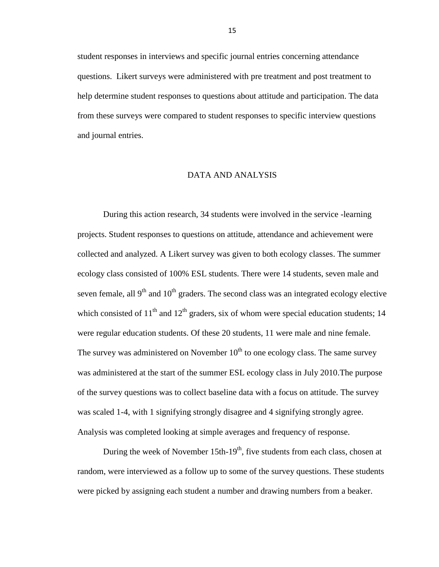student responses in interviews and specific journal entries concerning attendance questions. Likert surveys were administered with pre treatment and post treatment to help determine student responses to questions about attitude and participation. The data from these surveys were compared to student responses to specific interview questions and journal entries.

#### DATA AND ANALYSIS

During this action research, 34 students were involved in the service -learning projects. Student responses to questions on attitude, attendance and achievement were collected and analyzed. A Likert survey was given to both ecology classes. The summer ecology class consisted of 100% ESL students. There were 14 students, seven male and seven female, all  $9<sup>th</sup>$  and  $10<sup>th</sup>$  graders. The second class was an integrated ecology elective which consisted of  $11<sup>th</sup>$  and  $12<sup>th</sup>$  graders, six of whom were special education students; 14 were regular education students. Of these 20 students, 11 were male and nine female. The survey was administered on November  $10<sup>th</sup>$  to one ecology class. The same survey was administered at the start of the summer ESL ecology class in July 2010.The purpose of the survey questions was to collect baseline data with a focus on attitude. The survey was scaled 1-4, with 1 signifying strongly disagree and 4 signifying strongly agree. Analysis was completed looking at simple averages and frequency of response.

During the week of November 15th-19<sup>th</sup>, five students from each class, chosen at random, were interviewed as a follow up to some of the survey questions. These students were picked by assigning each student a number and drawing numbers from a beaker.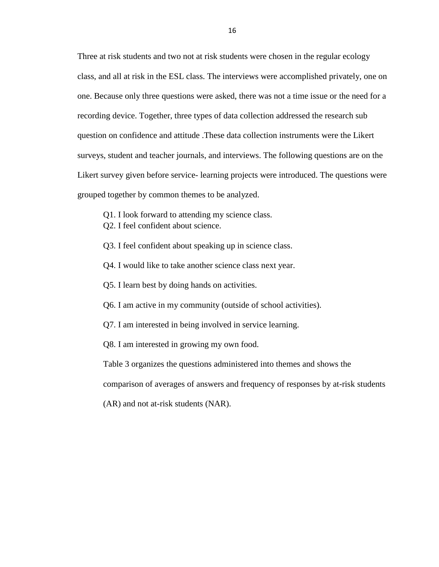Three at risk students and two not at risk students were chosen in the regular ecology class, and all at risk in the ESL class. The interviews were accomplished privately, one on one. Because only three questions were asked, there was not a time issue or the need for a recording device. Together, three types of data collection addressed the research sub question on confidence and attitude .These data collection instruments were the Likert surveys, student and teacher journals, and interviews. The following questions are on the Likert survey given before service- learning projects were introduced. The questions were grouped together by common themes to be analyzed.

- Q1. I look forward to attending my science class.
- Q2. I feel confident about science.
- Q3. I feel confident about speaking up in science class.
- Q4. I would like to take another science class next year.
- Q5. I learn best by doing hands on activities.
- Q6. I am active in my community (outside of school activities).
- Q7. I am interested in being involved in service learning.
- Q8. I am interested in growing my own food.

Table 3 organizes the questions administered into themes and shows the

comparison of averages of answers and frequency of responses by at-risk students

(AR) and not at-risk students (NAR).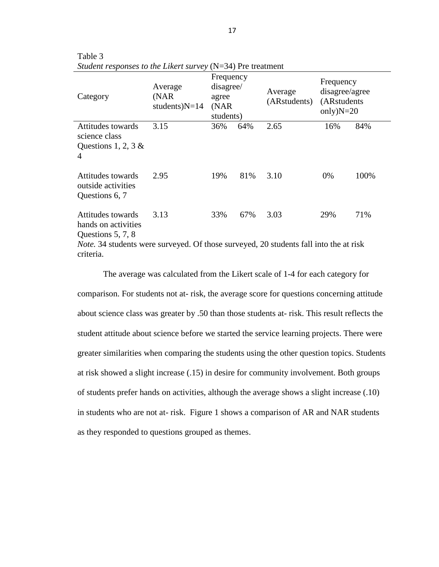| Category                                                                                                                                                                   | Average<br>(NAR)<br>students) $N=14$ | Frequency<br>disagree/<br>agree<br>(NAR)<br>students) |     | Average<br>(ARstudents) | Frequency<br>disagree/agree<br>(ARstudents)<br>only) $N=20$ |      |
|----------------------------------------------------------------------------------------------------------------------------------------------------------------------------|--------------------------------------|-------------------------------------------------------|-----|-------------------------|-------------------------------------------------------------|------|
| Attitudes towards<br>science class<br>Questions 1, 2, 3 $\&$<br>4                                                                                                          | 3.15                                 | 36%                                                   | 64% | 2.65                    | 16%                                                         | 84%  |
| Attitudes towards<br>outside activities<br>Questions 6, 7                                                                                                                  | 2.95                                 | 19%                                                   | 81% | 3.10                    | $0\%$                                                       | 100% |
| Attitudes towards<br>hands on activities<br>Questions 5, 7, 8<br><i>Note.</i> 34 students were surveyed. Of those surveyed, 20 students fall into the at risk<br>criteria. | 3.13                                 | 33%                                                   | 67% | 3.03                    | 29%                                                         | 71%  |

Table 3 *Student responses to the Likert survey* (N=34) Pre treatment

The average was calculated from the Likert scale of 1-4 for each category for comparison. For students not at- risk, the average score for questions concerning attitude about science class was greater by .50 than those students at- risk. This result reflects the student attitude about science before we started the service learning projects. There were greater similarities when comparing the students using the other question topics. Students at risk showed a slight increase (.15) in desire for community involvement. Both groups of students prefer hands on activities, although the average shows a slight increase (.10) in students who are not at- risk. Figure 1 shows a comparison of AR and NAR students as they responded to questions grouped as themes.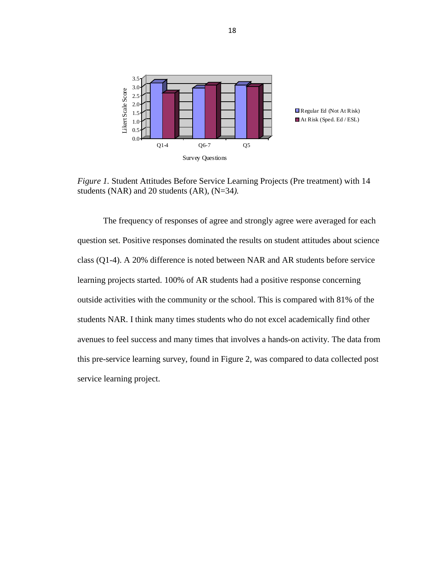

*Figure 1.* Student Attitudes Before Service Learning Projects (Pre treatment) with 14 students (NAR) and 20 students (AR), (N=34*).*

The frequency of responses of agree and strongly agree were averaged for each question set. Positive responses dominated the results on student attitudes about science class (Q1-4). A 20% difference is noted between NAR and AR students before service learning projects started. 100% of AR students had a positive response concerning outside activities with the community or the school. This is compared with 81% of the students NAR. I think many times students who do not excel academically find other avenues to feel success and many times that involves a hands-on activity. The data from this pre-service learning survey, found in Figure 2, was compared to data collected post service learning project.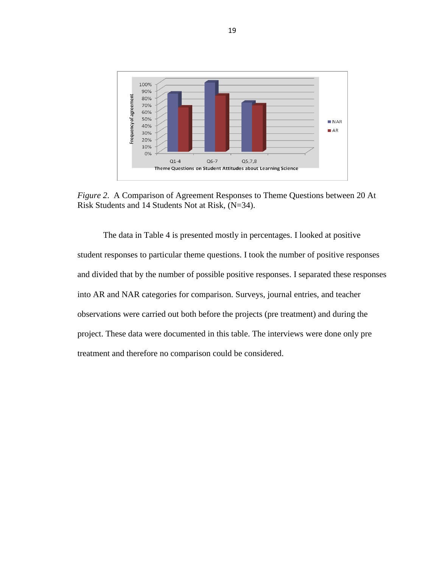

*Figure 2*. A Comparison of Agreement Responses to Theme Questions between 20 At Risk Students and 14 Students Not at Risk, (N=34).

The data in Table 4 is presented mostly in percentages. I looked at positive student responses to particular theme questions. I took the number of positive responses and divided that by the number of possible positive responses. I separated these responses into AR and NAR categories for comparison. Surveys, journal entries, and teacher observations were carried out both before the projects (pre treatment) and during the project. These data were documented in this table. The interviews were done only pre treatment and therefore no comparison could be considered.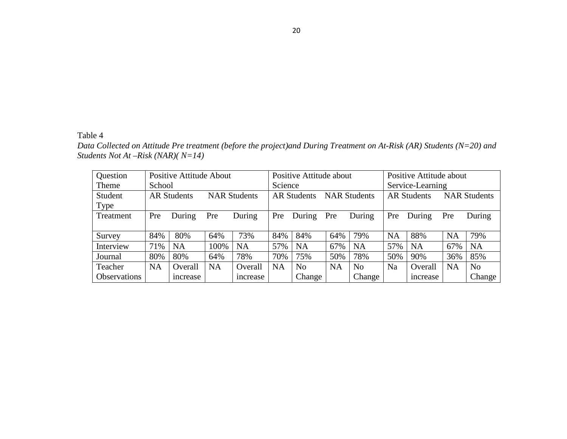## Table 4

*Data Collected on Attitude Pre treatment (before the project)and During Treatment on At-Risk (AR) Students (N=20) and Students Not At –Risk (NAR)( N=14)*

| Question            | <b>Positive Attitude About</b> |                    |           | Positive Attitude about |           |                    | Positive Attitude about |                     |                  |                    |           |                     |
|---------------------|--------------------------------|--------------------|-----------|-------------------------|-----------|--------------------|-------------------------|---------------------|------------------|--------------------|-----------|---------------------|
| Theme               | School                         |                    |           |                         | Science   |                    |                         |                     | Service-Learning |                    |           |                     |
| Student             |                                | <b>AR Students</b> |           | <b>NAR Students</b>     |           | <b>AR Students</b> |                         | <b>NAR Students</b> |                  | <b>AR Students</b> |           | <b>NAR Students</b> |
| <b>Type</b>         |                                |                    |           |                         |           |                    |                         |                     |                  |                    |           |                     |
| Treatment           | Pre                            | During             | Pre       | During                  | Pre       | During             | Pre                     | During              | Pre              | During             | Pre       | During              |
|                     |                                |                    |           |                         |           |                    |                         |                     |                  |                    |           |                     |
| Survey              | 84%                            | 80%                | 64%       | 73%                     | 84%       | 84%                | 64%                     | 79%                 | <b>NA</b>        | 88%                | <b>NA</b> | 79%                 |
| Interview           | 71%                            | <b>NA</b>          | 100%      | <b>NA</b>               | 57%       | <b>NA</b>          | 67%                     | <b>NA</b>           | 57%              | <b>NA</b>          | 67%       | <b>NA</b>           |
| Journal             | 80%                            | 80%                | 64%       | 78%                     | 70%       | 75%                | 50%                     | 78%                 | 50%              | 90%                | 36%       | 85%                 |
| Teacher             | <b>NA</b>                      | Overall            | <b>NA</b> | Overall                 | <b>NA</b> | N <sub>o</sub>     | <b>NA</b>               | N <sub>o</sub>      | Na               | Overall            | <b>NA</b> | N <sub>o</sub>      |
| <b>Observations</b> |                                | <i>ncrease</i>     |           | <i>ncrease</i>          |           | Change             |                         | Change              |                  | <i>ncrease</i>     |           | Change              |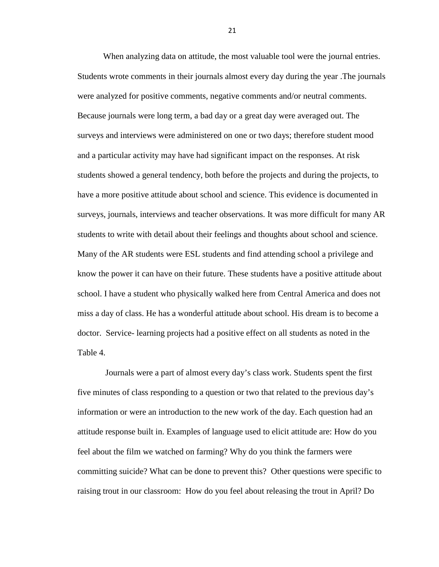When analyzing data on attitude, the most valuable tool were the journal entries. Students wrote comments in their journals almost every day during the year .The journals were analyzed for positive comments, negative comments and/or neutral comments. Because journals were long term, a bad day or a great day were averaged out. The surveys and interviews were administered on one or two days; therefore student mood and a particular activity may have had significant impact on the responses. At risk students showed a general tendency, both before the projects and during the projects, to have a more positive attitude about school and science. This evidence is documented in surveys, journals, interviews and teacher observations. It was more difficult for many AR students to write with detail about their feelings and thoughts about school and science. Many of the AR students were ESL students and find attending school a privilege and know the power it can have on their future. These students have a positive attitude about school. I have a student who physically walked here from Central America and does not miss a day of class. He has a wonderful attitude about school. His dream is to become a doctor. Service- learning projects had a positive effect on all students as noted in the Table 4.

Journals were a part of almost every day's class work. Students spent the first five minutes of class responding to a question or two that related to the previous day's information or were an introduction to the new work of the day. Each question had an attitude response built in. Examples of language used to elicit attitude are: How do you feel about the film we watched on farming? Why do you think the farmers were committing suicide? What can be done to prevent this? Other questions were specific to raising trout in our classroom: How do you feel about releasing the trout in April? Do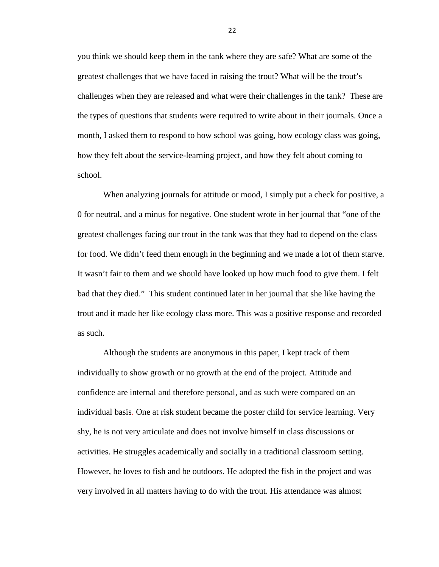you think we should keep them in the tank where they are safe? What are some of the greatest challenges that we have faced in raising the trout? What will be the trout's challenges when they are released and what were their challenges in the tank? These are the types of questions that students were required to write about in their journals. Once a month, I asked them to respond to how school was going, how ecology class was going, how they felt about the service-learning project, and how they felt about coming to school.

When analyzing journals for attitude or mood, I simply put a check for positive, a 0 for neutral, and a minus for negative. One student wrote in her journal that "one of the greatest challenges facing our trout in the tank was that they had to depend on the class for food. We didn't feed them enough in the beginning and we made a lot of them starve. It wasn't fair to them and we should have looked up how much food to give them. I felt bad that they died." This student continued later in her journal that she like having the trout and it made her like ecology class more. This was a positive response and recorded as such.

Although the students are anonymous in this paper, I kept track of them individually to show growth or no growth at the end of the project. Attitude and confidence are internal and therefore personal, and as such were compared on an individual basis. One at risk student became the poster child for service learning. Very shy, he is not very articulate and does not involve himself in class discussions or activities. He struggles academically and socially in a traditional classroom setting. However, he loves to fish and be outdoors. He adopted the fish in the project and was very involved in all matters having to do with the trout. His attendance was almost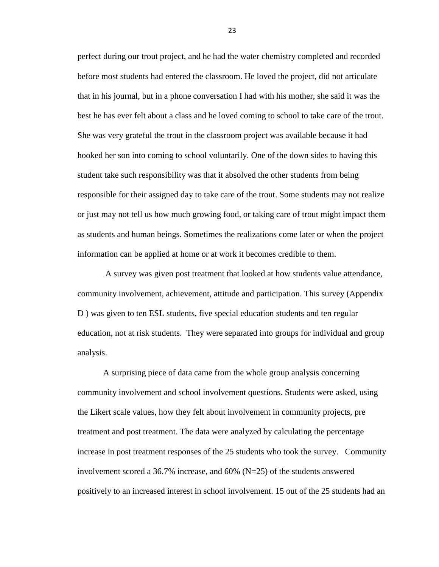perfect during our trout project, and he had the water chemistry completed and recorded before most students had entered the classroom. He loved the project, did not articulate that in his journal, but in a phone conversation I had with his mother, she said it was the best he has ever felt about a class and he loved coming to school to take care of the trout. She was very grateful the trout in the classroom project was available because it had hooked her son into coming to school voluntarily. One of the down sides to having this student take such responsibility was that it absolved the other students from being responsible for their assigned day to take care of the trout. Some students may not realize or just may not tell us how much growing food, or taking care of trout might impact them as students and human beings. Sometimes the realizations come later or when the project information can be applied at home or at work it becomes credible to them.

A survey was given post treatment that looked at how students value attendance, community involvement, achievement, attitude and participation. This survey (Appendix D ) was given to ten ESL students, five special education students and ten regular education, not at risk students. They were separated into groups for individual and group analysis.

A surprising piece of data came from the whole group analysis concerning community involvement and school involvement questions. Students were asked, using the Likert scale values, how they felt about involvement in community projects, pre treatment and post treatment. The data were analyzed by calculating the percentage increase in post treatment responses of the 25 students who took the survey. Community involvement scored a 36.7% increase, and 60% (N=25) of the students answered positively to an increased interest in school involvement. 15 out of the 25 students had an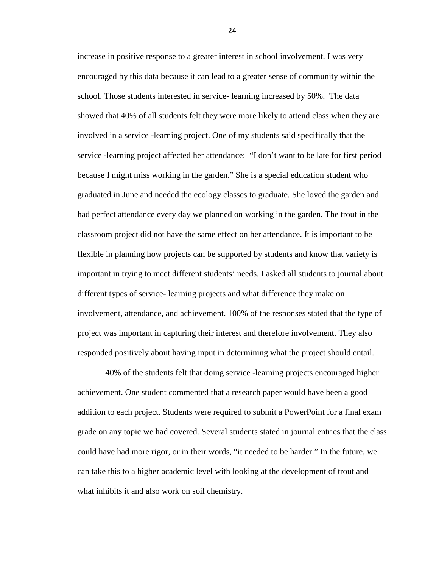increase in positive response to a greater interest in school involvement. I was very encouraged by this data because it can lead to a greater sense of community within the school. Those students interested in service- learning increased by 50%. The data showed that 40% of all students felt they were more likely to attend class when they are involved in a service -learning project. One of my students said specifically that the service -learning project affected her attendance: "I don't want to be late for first period because I might miss working in the garden." She is a special education student who graduated in June and needed the ecology classes to graduate. She loved the garden and had perfect attendance every day we planned on working in the garden. The trout in the classroom project did not have the same effect on her attendance. It is important to be flexible in planning how projects can be supported by students and know that variety is important in trying to meet different students' needs. I asked all students to journal about different types of service- learning projects and what difference they make on involvement, attendance, and achievement. 100% of the responses stated that the type of project was important in capturing their interest and therefore involvement. They also responded positively about having input in determining what the project should entail.

40% of the students felt that doing service -learning projects encouraged higher achievement. One student commented that a research paper would have been a good addition to each project. Students were required to submit a PowerPoint for a final exam grade on any topic we had covered. Several students stated in journal entries that the class could have had more rigor, or in their words, "it needed to be harder." In the future, we can take this to a higher academic level with looking at the development of trout and what inhibits it and also work on soil chemistry.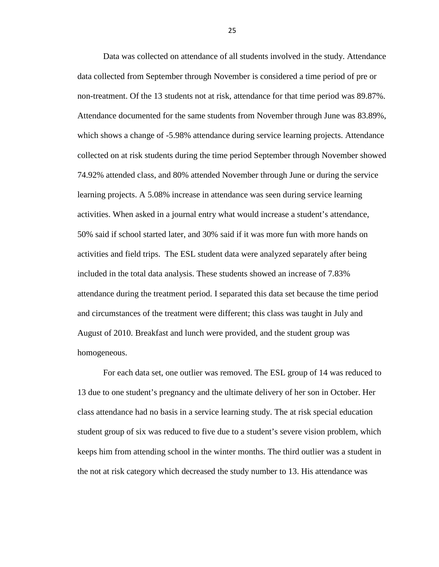Data was collected on attendance of all students involved in the study. Attendance data collected from September through November is considered a time period of pre or non-treatment. Of the 13 students not at risk, attendance for that time period was 89.87%. Attendance documented for the same students from November through June was 83.89%, which shows a change of -5.98% attendance during service learning projects. Attendance collected on at risk students during the time period September through November showed 74.92% attended class, and 80% attended November through June or during the service learning projects. A 5.08% increase in attendance was seen during service learning activities. When asked in a journal entry what would increase a student's attendance, 50% said if school started later, and 30% said if it was more fun with more hands on activities and field trips. The ESL student data were analyzed separately after being included in the total data analysis. These students showed an increase of 7.83% attendance during the treatment period. I separated this data set because the time period and circumstances of the treatment were different; this class was taught in July and August of 2010. Breakfast and lunch were provided, and the student group was homogeneous.

For each data set, one outlier was removed. The ESL group of 14 was reduced to 13 due to one student's pregnancy and the ultimate delivery of her son in October. Her class attendance had no basis in a service learning study. The at risk special education student group of six was reduced to five due to a student's severe vision problem, which keeps him from attending school in the winter months. The third outlier was a student in the not at risk category which decreased the study number to 13. His attendance was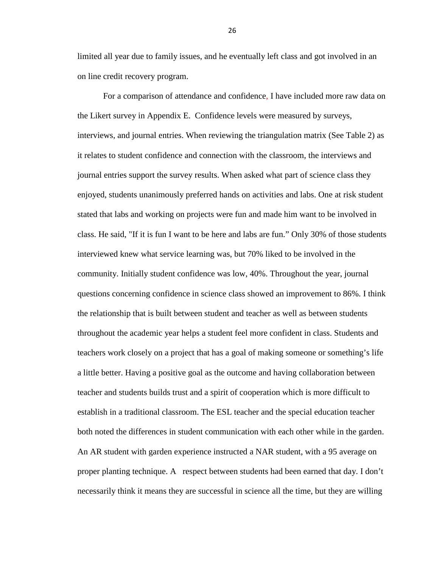limited all year due to family issues, and he eventually left class and got involved in an on line credit recovery program.

For a comparison of attendance and confidence, I have included more raw data on the Likert survey in Appendix E. Confidence levels were measured by surveys, interviews, and journal entries. When reviewing the triangulation matrix (See Table 2) as it relates to student confidence and connection with the classroom, the interviews and journal entries support the survey results. When asked what part of science class they enjoyed, students unanimously preferred hands on activities and labs. One at risk student stated that labs and working on projects were fun and made him want to be involved in class. He said, "If it is fun I want to be here and labs are fun." Only 30% of those students interviewed knew what service learning was, but 70% liked to be involved in the community. Initially student confidence was low, 40%. Throughout the year, journal questions concerning confidence in science class showed an improvement to 86%. I think the relationship that is built between student and teacher as well as between students throughout the academic year helps a student feel more confident in class. Students and teachers work closely on a project that has a goal of making someone or something's life a little better. Having a positive goal as the outcome and having collaboration between teacher and students builds trust and a spirit of cooperation which is more difficult to establish in a traditional classroom. The ESL teacher and the special education teacher both noted the differences in student communication with each other while in the garden. An AR student with garden experience instructed a NAR student, with a 95 average on proper planting technique. A respect between students had been earned that day. I don't necessarily think it means they are successful in science all the time, but they are willing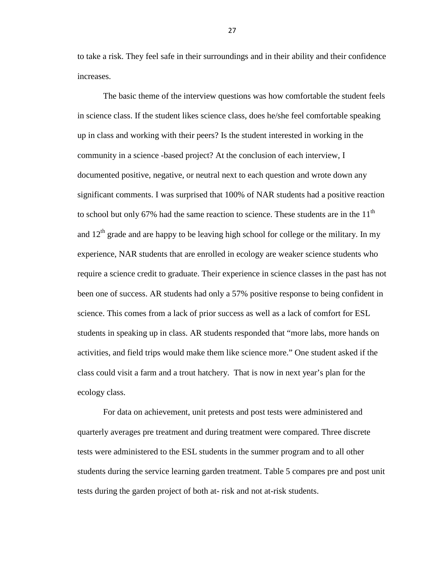to take a risk. They feel safe in their surroundings and in their ability and their confidence increases.

The basic theme of the interview questions was how comfortable the student feels in science class. If the student likes science class, does he/she feel comfortable speaking up in class and working with their peers? Is the student interested in working in the community in a science -based project? At the conclusion of each interview, I documented positive, negative, or neutral next to each question and wrote down any significant comments. I was surprised that 100% of NAR students had a positive reaction to school but only 67% had the same reaction to science. These students are in the  $11<sup>th</sup>$ and  $12<sup>th</sup>$  grade and are happy to be leaving high school for college or the military. In my experience, NAR students that are enrolled in ecology are weaker science students who require a science credit to graduate. Their experience in science classes in the past has not been one of success. AR students had only a 57% positive response to being confident in science. This comes from a lack of prior success as well as a lack of comfort for ESL students in speaking up in class. AR students responded that "more labs, more hands on activities, and field trips would make them like science more." One student asked if the class could visit a farm and a trout hatchery. That is now in next year's plan for the ecology class.

For data on achievement, unit pretests and post tests were administered and quarterly averages pre treatment and during treatment were compared. Three discrete tests were administered to the ESL students in the summer program and to all other students during the service learning garden treatment. Table 5 compares pre and post unit tests during the garden project of both at- risk and not at-risk students.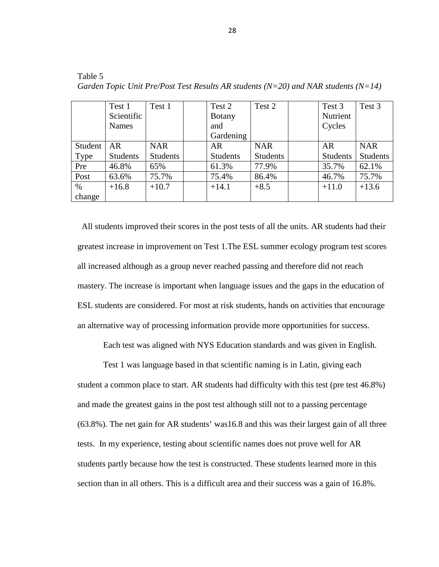|         | Test 1     | Test 1     | Test 2          | Test 2          | Test 3          | Test 3          |
|---------|------------|------------|-----------------|-----------------|-----------------|-----------------|
|         | Scientific |            | <b>Botany</b>   |                 | Nutrient        |                 |
|         | Names      |            | and             |                 | Cycles          |                 |
|         |            |            | Gardening       |                 |                 |                 |
| Student | <b>AR</b>  | <b>NAR</b> | <b>AR</b>       | <b>NAR</b>      | <b>AR</b>       | <b>NAR</b>      |
| Type    | Students   | Students   | <b>Students</b> | <b>Students</b> | <b>Students</b> | <b>Students</b> |
| Pre     | 46.8%      | 65%        | 61.3%           | 77.9%           | 35.7%           | 62.1%           |
| Post    | 63.6%      | 75.7%      | 75.4%           | 86.4%           | 46.7%           | 75.7%           |
| $\%$    | $+16.8$    | $+10.7$    | $+14.1$         | $+8.5$          | $+11.0$         | $+13.6$         |
| change  |            |            |                 |                 |                 |                 |

Table 5 *Garden Topic Unit Pre/Post Test Results AR students (N=20) and NAR students (N=14)*

 All students improved their scores in the post tests of all the units. AR students had their greatest increase in improvement on Test 1.The ESL summer ecology program test scores all increased although as a group never reached passing and therefore did not reach mastery. The increase is important when language issues and the gaps in the education of ESL students are considered. For most at risk students, hands on activities that encourage an alternative way of processing information provide more opportunities for success.

Each test was aligned with NYS Education standards and was given in English.

Test 1 was language based in that scientific naming is in Latin, giving each student a common place to start. AR students had difficulty with this test (pre test 46.8%) and made the greatest gains in the post test although still not to a passing percentage (63.8%). The net gain for AR students' was16.8 and this was their largest gain of all three tests. In my experience, testing about scientific names does not prove well for AR students partly because how the test is constructed. These students learned more in this section than in all others. This is a difficult area and their success was a gain of 16.8%.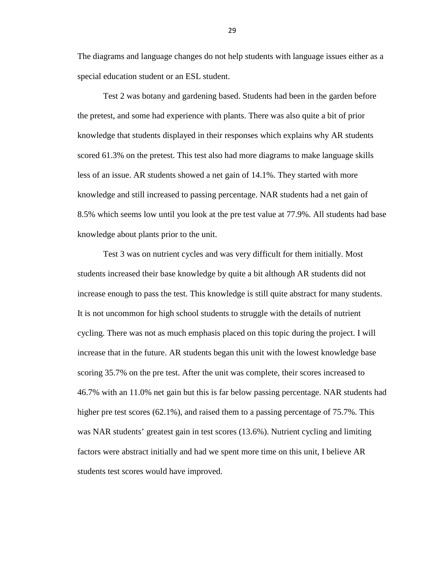The diagrams and language changes do not help students with language issues either as a special education student or an ESL student.

Test 2 was botany and gardening based. Students had been in the garden before the pretest, and some had experience with plants. There was also quite a bit of prior knowledge that students displayed in their responses which explains why AR students scored 61.3% on the pretest. This test also had more diagrams to make language skills less of an issue. AR students showed a net gain of 14.1%. They started with more knowledge and still increased to passing percentage. NAR students had a net gain of 8.5% which seems low until you look at the pre test value at 77.9%. All students had base knowledge about plants prior to the unit.

Test 3 was on nutrient cycles and was very difficult for them initially. Most students increased their base knowledge by quite a bit although AR students did not increase enough to pass the test. This knowledge is still quite abstract for many students. It is not uncommon for high school students to struggle with the details of nutrient cycling. There was not as much emphasis placed on this topic during the project. I will increase that in the future. AR students began this unit with the lowest knowledge base scoring 35.7% on the pre test. After the unit was complete, their scores increased to 46.7% with an 11.0% net gain but this is far below passing percentage. NAR students had higher pre test scores (62.1%), and raised them to a passing percentage of 75.7%. This was NAR students' greatest gain in test scores (13.6%). Nutrient cycling and limiting factors were abstract initially and had we spent more time on this unit, I believe AR students test scores would have improved.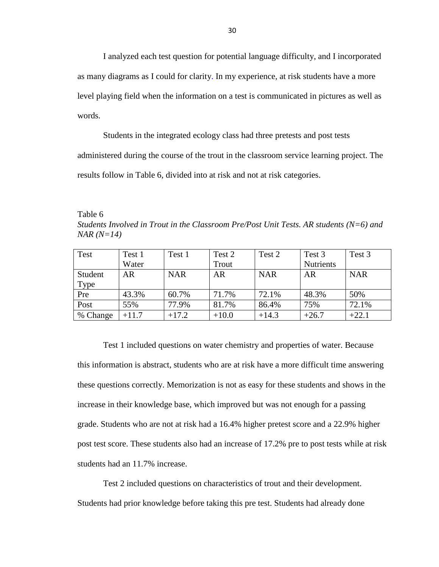I analyzed each test question for potential language difficulty, and I incorporated as many diagrams as I could for clarity. In my experience, at risk students have a more level playing field when the information on a test is communicated in pictures as well as words.

Students in the integrated ecology class had three pretests and post tests administered during the course of the trout in the classroom service learning project. The results follow in Table 6, divided into at risk and not at risk categories.

Table 6 *Students Involved in Trout in the Classroom Pre/Post Unit Tests. AR students (N=6) and NAR (N=14)*

| Test     | Test 1  | Test 1     | Test 2  | Test 2     | Test 3           | Test 3     |
|----------|---------|------------|---------|------------|------------------|------------|
|          | Water   |            | Trout   |            | <b>Nutrients</b> |            |
| Student  | AR      | <b>NAR</b> | AR      | <b>NAR</b> | <b>AR</b>        | <b>NAR</b> |
| Type     |         |            |         |            |                  |            |
| Pre      | 43.3%   | 60.7%      | 71.7%   | 72.1%      | 48.3%            | 50%        |
| Post     | 55%     | 77.9%      | 81.7%   | 86.4%      | 75%              | 72.1%      |
| % Change | $+11.7$ | $+17.2$    | $+10.0$ | $+14.3$    | $+26.7$          | $+22.1$    |

Test 1 included questions on water chemistry and properties of water. Because this information is abstract, students who are at risk have a more difficult time answering these questions correctly. Memorization is not as easy for these students and shows in the increase in their knowledge base, which improved but was not enough for a passing grade. Students who are not at risk had a 16.4% higher pretest score and a 22.9% higher post test score. These students also had an increase of 17.2% pre to post tests while at risk students had an 11.7% increase.

Test 2 included questions on characteristics of trout and their development. Students had prior knowledge before taking this pre test. Students had already done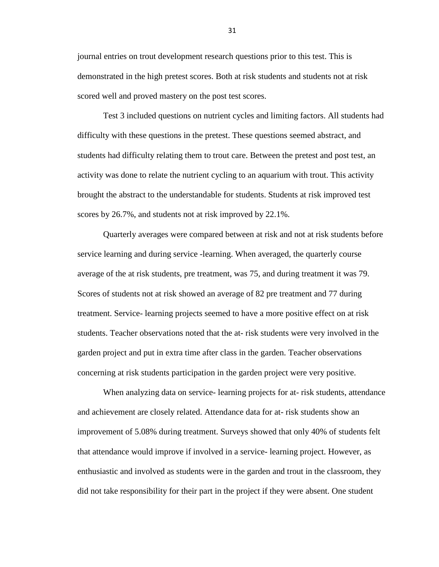journal entries on trout development research questions prior to this test. This is demonstrated in the high pretest scores. Both at risk students and students not at risk scored well and proved mastery on the post test scores.

Test 3 included questions on nutrient cycles and limiting factors. All students had difficulty with these questions in the pretest. These questions seemed abstract, and students had difficulty relating them to trout care. Between the pretest and post test, an activity was done to relate the nutrient cycling to an aquarium with trout. This activity brought the abstract to the understandable for students. Students at risk improved test scores by 26.7%, and students not at risk improved by 22.1%.

Quarterly averages were compared between at risk and not at risk students before service learning and during service -learning. When averaged, the quarterly course average of the at risk students, pre treatment, was 75, and during treatment it was 79. Scores of students not at risk showed an average of 82 pre treatment and 77 during treatment. Service- learning projects seemed to have a more positive effect on at risk students. Teacher observations noted that the at- risk students were very involved in the garden project and put in extra time after class in the garden. Teacher observations concerning at risk students participation in the garden project were very positive.

When analyzing data on service- learning projects for at- risk students, attendance and achievement are closely related. Attendance data for at- risk students show an improvement of 5.08% during treatment. Surveys showed that only 40% of students felt that attendance would improve if involved in a service- learning project. However, as enthusiastic and involved as students were in the garden and trout in the classroom, they did not take responsibility for their part in the project if they were absent. One student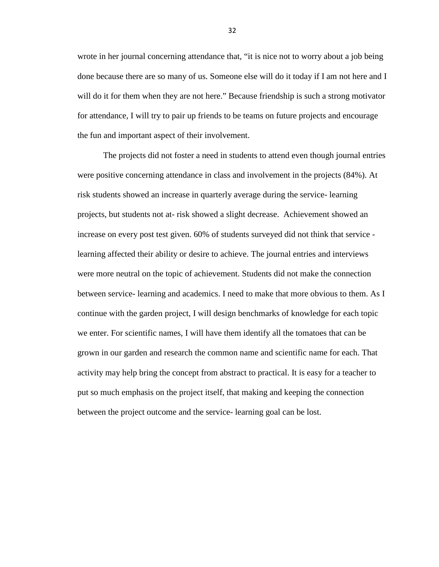wrote in her journal concerning attendance that, "it is nice not to worry about a job being done because there are so many of us. Someone else will do it today if I am not here and I will do it for them when they are not here." Because friendship is such a strong motivator for attendance, I will try to pair up friends to be teams on future projects and encourage the fun and important aspect of their involvement.

The projects did not foster a need in students to attend even though journal entries were positive concerning attendance in class and involvement in the projects (84%). At risk students showed an increase in quarterly average during the service- learning projects, but students not at- risk showed a slight decrease. Achievement showed an increase on every post test given. 60% of students surveyed did not think that service learning affected their ability or desire to achieve. The journal entries and interviews were more neutral on the topic of achievement. Students did not make the connection between service- learning and academics. I need to make that more obvious to them. As I continue with the garden project, I will design benchmarks of knowledge for each topic we enter. For scientific names, I will have them identify all the tomatoes that can be grown in our garden and research the common name and scientific name for each. That activity may help bring the concept from abstract to practical. It is easy for a teacher to put so much emphasis on the project itself, that making and keeping the connection between the project outcome and the service- learning goal can be lost.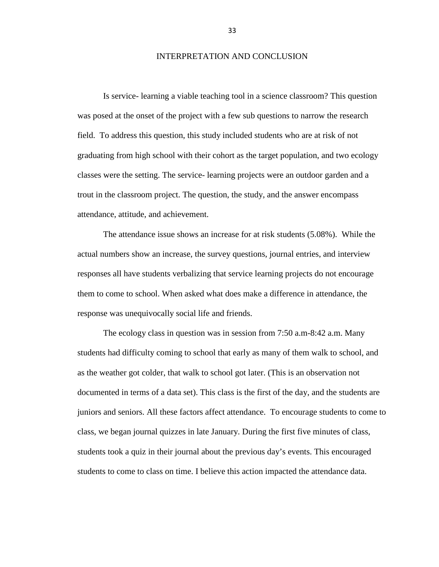#### INTERPRETATION AND CONCLUSION

Is service- learning a viable teaching tool in a science classroom? This question was posed at the onset of the project with a few sub questions to narrow the research field. To address this question, this study included students who are at risk of not graduating from high school with their cohort as the target population, and two ecology classes were the setting. The service- learning projects were an outdoor garden and a trout in the classroom project. The question, the study, and the answer encompass attendance, attitude, and achievement.

The attendance issue shows an increase for at risk students (5.08%). While the actual numbers show an increase, the survey questions, journal entries, and interview responses all have students verbalizing that service learning projects do not encourage them to come to school. When asked what does make a difference in attendance, the response was unequivocally social life and friends.

The ecology class in question was in session from 7:50 a.m-8:42 a.m. Many students had difficulty coming to school that early as many of them walk to school, and as the weather got colder, that walk to school got later. (This is an observation not documented in terms of a data set). This class is the first of the day, and the students are juniors and seniors. All these factors affect attendance. To encourage students to come to class, we began journal quizzes in late January. During the first five minutes of class, students took a quiz in their journal about the previous day's events. This encouraged students to come to class on time. I believe this action impacted the attendance data.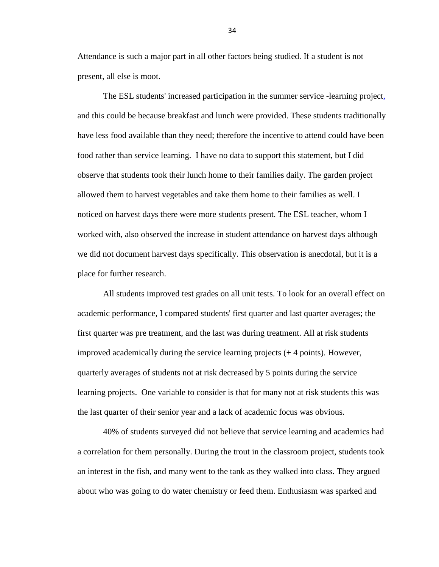Attendance is such a major part in all other factors being studied. If a student is not present, all else is moot.

The ESL students' increased participation in the summer service -learning project, and this could be because breakfast and lunch were provided. These students traditionally have less food available than they need; therefore the incentive to attend could have been food rather than service learning. I have no data to support this statement, but I did observe that students took their lunch home to their families daily. The garden project allowed them to harvest vegetables and take them home to their families as well. I noticed on harvest days there were more students present. The ESL teacher, whom I worked with, also observed the increase in student attendance on harvest days although we did not document harvest days specifically. This observation is anecdotal, but it is a place for further research.

All students improved test grades on all unit tests. To look for an overall effect on academic performance, I compared students' first quarter and last quarter averages; the first quarter was pre treatment, and the last was during treatment. All at risk students improved academically during the service learning projects (+ 4 points). However, quarterly averages of students not at risk decreased by 5 points during the service learning projects. One variable to consider is that for many not at risk students this was the last quarter of their senior year and a lack of academic focus was obvious.

40% of students surveyed did not believe that service learning and academics had a correlation for them personally. During the trout in the classroom project, students took an interest in the fish, and many went to the tank as they walked into class. They argued about who was going to do water chemistry or feed them. Enthusiasm was sparked and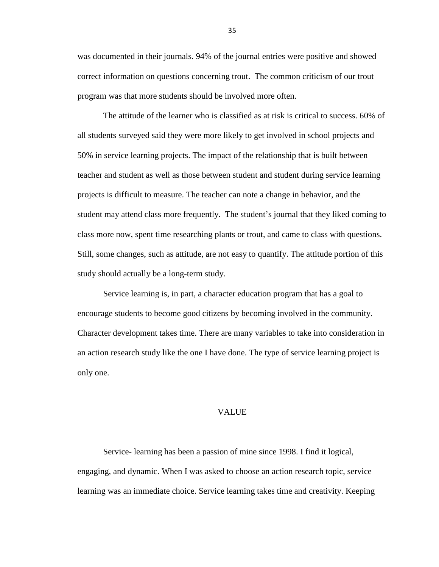was documented in their journals. 94% of the journal entries were positive and showed correct information on questions concerning trout. The common criticism of our trout program was that more students should be involved more often.

The attitude of the learner who is classified as at risk is critical to success. 60% of all students surveyed said they were more likely to get involved in school projects and 50% in service learning projects. The impact of the relationship that is built between teacher and student as well as those between student and student during service learning projects is difficult to measure. The teacher can note a change in behavior, and the student may attend class more frequently. The student's journal that they liked coming to class more now, spent time researching plants or trout, and came to class with questions. Still, some changes, such as attitude, are not easy to quantify. The attitude portion of this study should actually be a long-term study.

Service learning is, in part, a character education program that has a goal to encourage students to become good citizens by becoming involved in the community. Character development takes time. There are many variables to take into consideration in an action research study like the one I have done. The type of service learning project is only one.

#### VALUE

Service- learning has been a passion of mine since 1998. I find it logical, engaging, and dynamic. When I was asked to choose an action research topic, service learning was an immediate choice. Service learning takes time and creativity. Keeping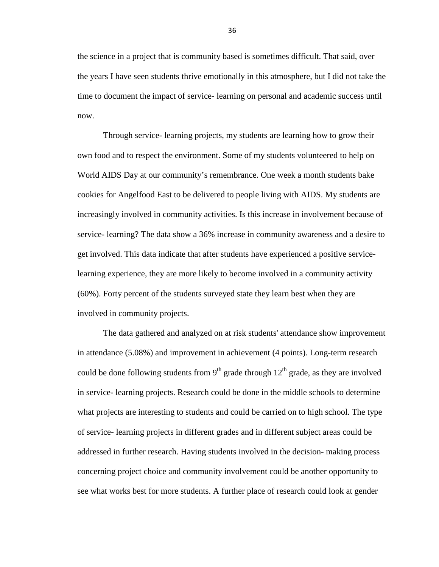the science in a project that is community based is sometimes difficult. That said, over the years I have seen students thrive emotionally in this atmosphere, but I did not take the time to document the impact of service- learning on personal and academic success until now.

Through service- learning projects, my students are learning how to grow their own food and to respect the environment. Some of my students volunteered to help on World AIDS Day at our community's remembrance. One week a month students bake cookies for Angelfood East to be delivered to people living with AIDS. My students are increasingly involved in community activities. Is this increase in involvement because of service- learning? The data show a 36% increase in community awareness and a desire to get involved. This data indicate that after students have experienced a positive servicelearning experience, they are more likely to become involved in a community activity (60%). Forty percent of the students surveyed state they learn best when they are involved in community projects.

The data gathered and analyzed on at risk students' attendance show improvement in attendance (5.08%) and improvement in achievement (4 points). Long-term research could be done following students from  $9<sup>th</sup>$  grade through  $12<sup>th</sup>$  grade, as they are involved in service- learning projects. Research could be done in the middle schools to determine what projects are interesting to students and could be carried on to high school. The type of service- learning projects in different grades and in different subject areas could be addressed in further research. Having students involved in the decision- making process concerning project choice and community involvement could be another opportunity to see what works best for more students. A further place of research could look at gender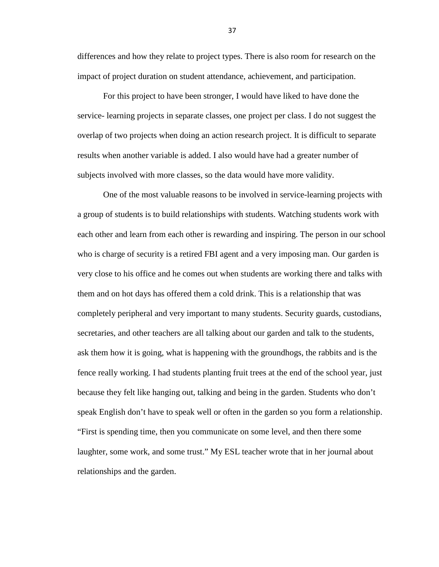differences and how they relate to project types. There is also room for research on the impact of project duration on student attendance, achievement, and participation.

For this project to have been stronger, I would have liked to have done the service- learning projects in separate classes, one project per class. I do not suggest the overlap of two projects when doing an action research project. It is difficult to separate results when another variable is added. I also would have had a greater number of subjects involved with more classes, so the data would have more validity.

One of the most valuable reasons to be involved in service-learning projects with a group of students is to build relationships with students. Watching students work with each other and learn from each other is rewarding and inspiring. The person in our school who is charge of security is a retired FBI agent and a very imposing man. Our garden is very close to his office and he comes out when students are working there and talks with them and on hot days has offered them a cold drink. This is a relationship that was completely peripheral and very important to many students. Security guards, custodians, secretaries, and other teachers are all talking about our garden and talk to the students, ask them how it is going, what is happening with the groundhogs, the rabbits and is the fence really working. I had students planting fruit trees at the end of the school year, just because they felt like hanging out, talking and being in the garden. Students who don't speak English don't have to speak well or often in the garden so you form a relationship. "First is spending time, then you communicate on some level, and then there some laughter, some work, and some trust." My ESL teacher wrote that in her journal about relationships and the garden.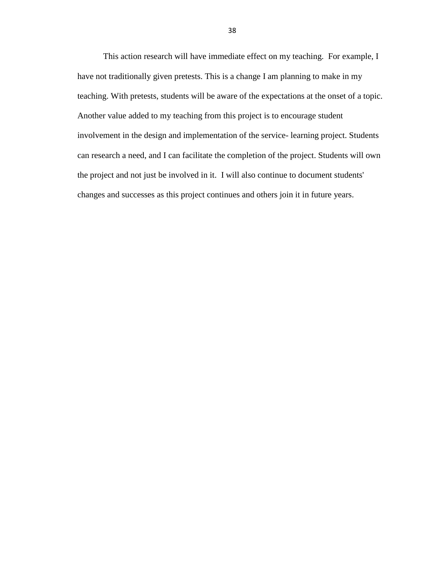This action research will have immediate effect on my teaching. For example, I have not traditionally given pretests. This is a change I am planning to make in my teaching. With pretests, students will be aware of the expectations at the onset of a topic. Another value added to my teaching from this project is to encourage student involvement in the design and implementation of the service- learning project. Students can research a need, and I can facilitate the completion of the project. Students will own the project and not just be involved in it. I will also continue to document students' changes and successes as this project continues and others join it in future years.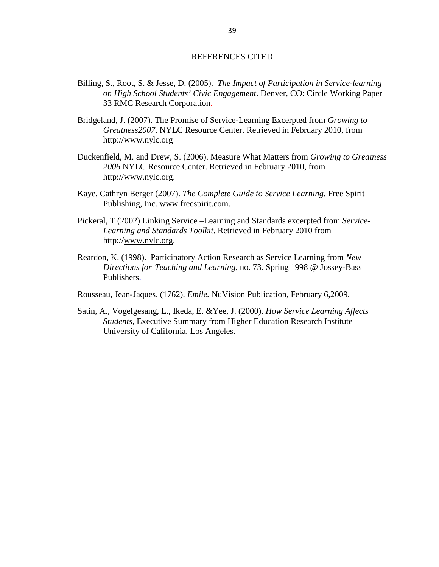#### REFERENCES CITED

- Billing, S., Root, S. & Jesse, D. (2005). *The Impact of Participation in Service-learning on High School Students' Civic Engagement*. Denver, CO: Circle Working Paper 33 RMC Research Corporation.
- Bridgeland, J. (2007). The Promise of Service-Learning Excerpted from *Growing to Greatness2007*. NYLC Resource Center. Retrieved in February 2010, from http:/[/www.nylc.org](http://www.nylc.org/)
- Duckenfield, M. and Drew, S. (2006). Measure What Matters from *Growing to Greatness 2006* NYLC Resource Center. Retrieved in February 2010, from http:/[/www.nylc.org.](http://www.nylc.org/)
- Kaye, Cathryn Berger (2007). *The Complete Guide to Service Learning*. Free Spirit Publishing, Inc. [www.freespirit.com.](http://www.freespirit.com/)
- Pickeral, T (2002) Linking Service –Learning and Standards excerpted from *Service-Learning and Standards Toolkit*. Retrieved in February 2010 from http:/[/www.nylc.org.](http://www.nylc.org/)
- Reardon, K. (1998). Participatory Action Research as Service Learning from *New Directions for Teaching and Learning*, no. 73. Spring 1998 @ Jossey-Bass Publishers.
- Rousseau, Jean-Jaques. (1762). *Emile.* NuVision Publication, February 6,2009.
- Satin, A., Vogelgesang, L., Ikeda, E. &Yee, J. (2000). *How Service Learning Affects Students*, Executive Summary from Higher Education Research Institute University of California, Los Angeles.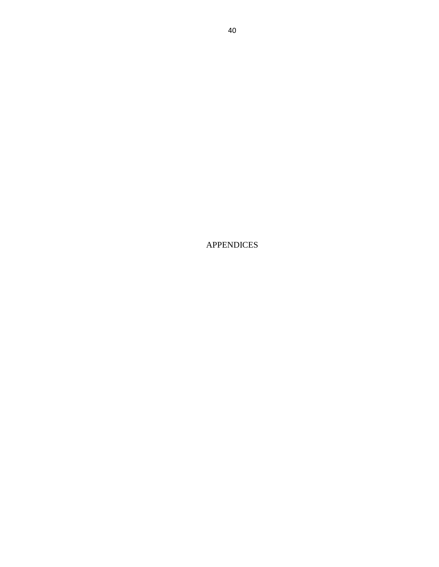APPENDICES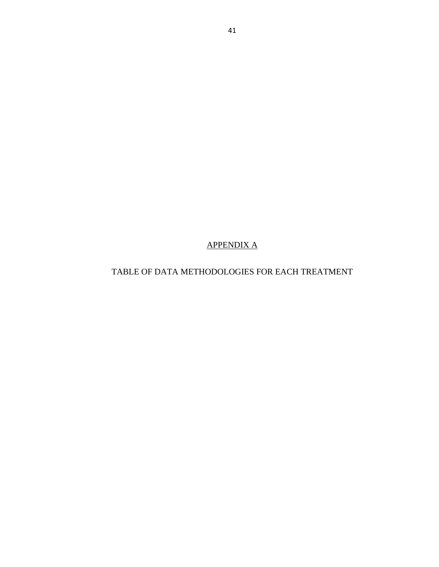APPENDIX A

TABLE OF DATA METHODOLOGIES FOR EACH TREATMENT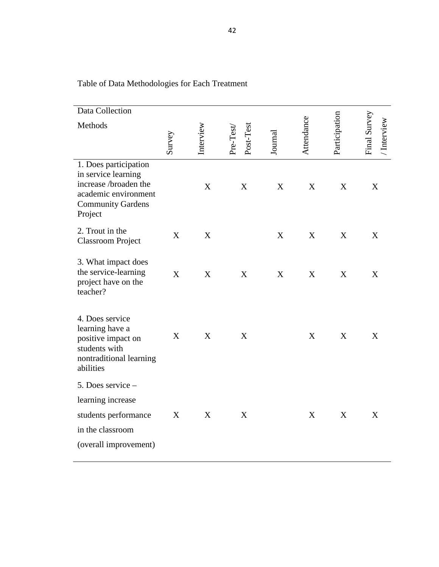| Survey      | Interview   | Post-Test<br>Pre-Test | Journal          |   |             | Final Survey<br>/ Interview |
|-------------|-------------|-----------------------|------------------|---|-------------|-----------------------------|
|             | X           | $\boldsymbol{X}$      | $\boldsymbol{X}$ | X | X           | X                           |
| X           | $\mathbf X$ |                       | $\boldsymbol{X}$ | X | $\mathbf X$ | X                           |
| X           | $\mathbf X$ | $\mathbf X$           | $\boldsymbol{X}$ | X | $\mathbf X$ | X                           |
| X           | X           | $\mathbf X$           |                  | X | X           | X                           |
|             |             |                       |                  |   |             |                             |
| $\mathbf X$ | X           | X                     |                  | X | $\mathbf X$ | X                           |
|             |             |                       |                  |   | Attendance  | Participation               |

Table of Data Methodologies for Each Treatment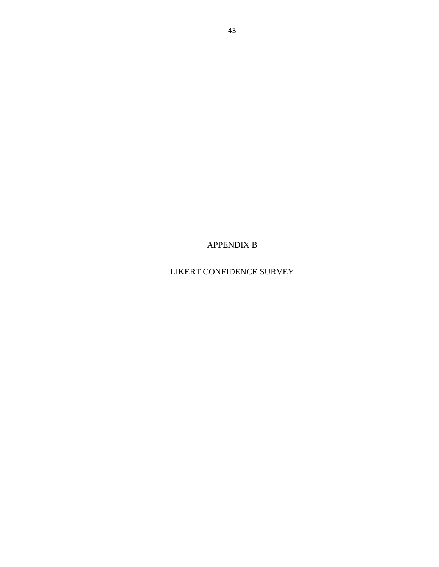APPENDIX B

LIKERT CONFIDENCE SURVEY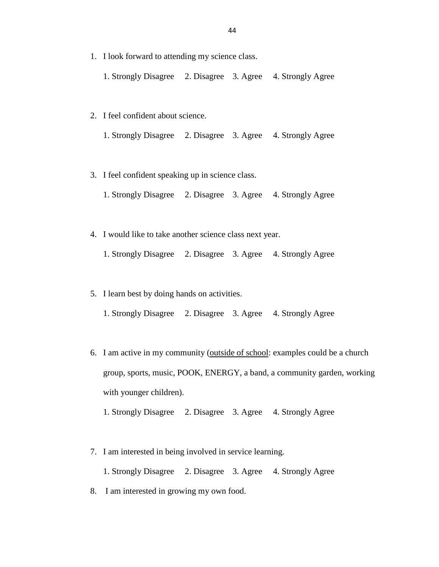1. I look forward to attending my science class.

1. Strongly Disagree 2. Disagree 3. Agree 4. Strongly Agree

- 2. I feel confident about science.
	- 1. Strongly Disagree 2. Disagree 3. Agree 4. Strongly Agree
- 3. I feel confident speaking up in science class.
	- 1. Strongly Disagree 2. Disagree 3. Agree 4. Strongly Agree
- 4. I would like to take another science class next year.
	- 1. Strongly Disagree 2. Disagree 3. Agree 4. Strongly Agree
- 5. I learn best by doing hands on activities.
	- 1. Strongly Disagree 2. Disagree 3. Agree 4. Strongly Agree
- 6. I am active in my community (outside of school: examples could be a church group, sports, music, POOK, ENERGY, a band, a community garden, working with younger children).

1. Strongly Disagree 2. Disagree 3. Agree 4. Strongly Agree

7. I am interested in being involved in service learning.

1. Strongly Disagree 2. Disagree 3. Agree 4. Strongly Agree

8. I am interested in growing my own food.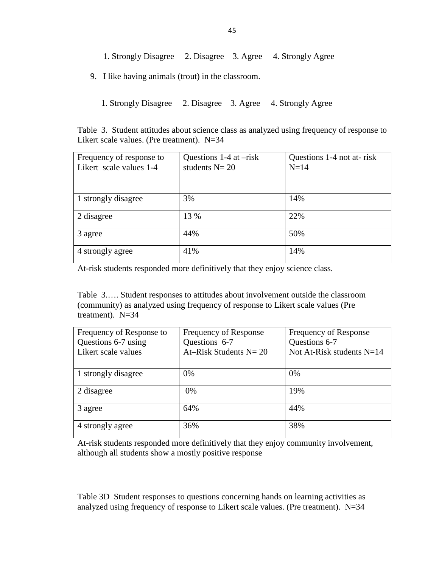- 1. Strongly Disagree 2. Disagree 3. Agree 4. Strongly Agree
- 9. I like having animals (trout) in the classroom.
	- 1. Strongly Disagree 2. Disagree 3. Agree 4. Strongly Agree

Table 3. Student attitudes about science class as analyzed using frequency of response to Likert scale values. (Pre treatment). N=34

| Frequency of response to<br>Likert scale values 1-4 | Questions $1-4$ at $-risk$<br>students $N = 20$ | Questions 1-4 not at-risk<br>$N=14$ |
|-----------------------------------------------------|-------------------------------------------------|-------------------------------------|
|                                                     |                                                 |                                     |
| 1 strongly disagree                                 | 3%                                              | 14%                                 |
| 2 disagree                                          | 13 %                                            | 22%                                 |
| 3 agree                                             | 44%                                             | 50%                                 |
| 4 strongly agree                                    | 41%                                             | 14%                                 |

At-risk students responded more definitively that they enjoy science class.

Table 3.…. Student responses to attitudes about involvement outside the classroom (community) as analyzed using frequency of response to Likert scale values (Pre treatment). N=34

| Frequency of Response to | Frequency of Response     | Frequency of Response       |
|--------------------------|---------------------------|-----------------------------|
| Questions 6-7 using      | Questions 6-7             | Questions 6-7               |
| Likert scale values      | At–Risk Students $N = 20$ | Not At-Risk students $N=14$ |
|                          |                           |                             |
| 1 strongly disagree      | 0%                        | 0%                          |
| 2 disagree               | 0%                        | 19%                         |
| 3 agree                  | 64%                       | 44%                         |
| 4 strongly agree         | 36%                       | 38%                         |

At-risk students responded more definitively that they enjoy community involvement, although all students show a mostly positive response

Table 3D Student responses to questions concerning hands on learning activities as analyzed using frequency of response to Likert scale values. (Pre treatment).  $N=34$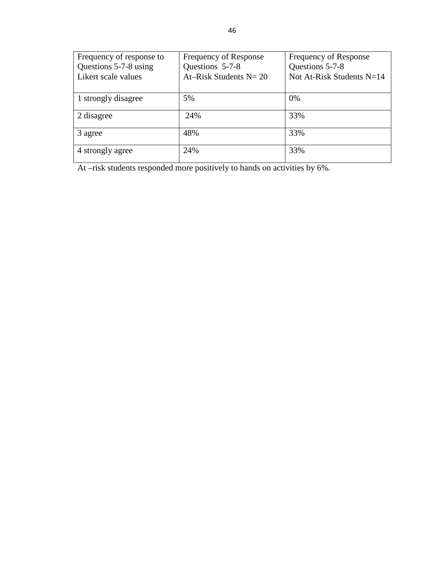| Frequency of response to | Frequency of Response     | Frequency of Response       |
|--------------------------|---------------------------|-----------------------------|
| Questions 5-7-8 using    | Questions 5-7-8           | Questions 5-7-8             |
| Likert scale values      | At–Risk Students $N = 20$ | Not At-Risk Students $N=14$ |
|                          |                           |                             |
| 1 strongly disagree      | 5%                        | 0%                          |
| 2 disagree               | 24%                       | 33%                         |
| 3 agree                  | 48%                       | 33%                         |
| 4 strongly agree         | 24%                       | 33%                         |

At –risk students responded more positively to hands on activities by 6%.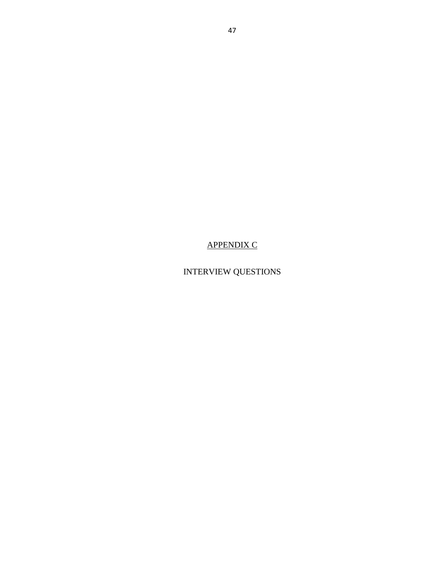APPENDIX C

INTERVIEW QUESTIONS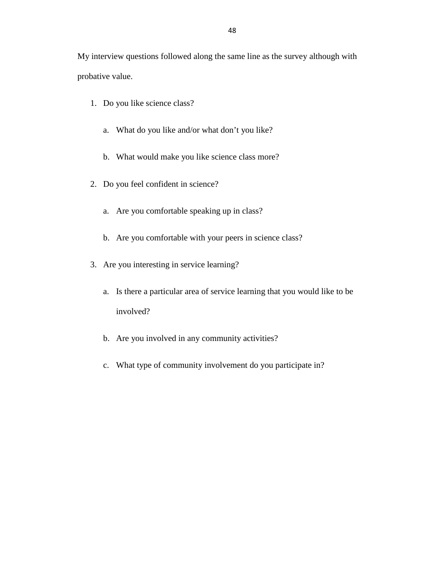My interview questions followed along the same line as the survey although with probative value.

- 1. Do you like science class?
	- a. What do you like and/or what don't you like?
	- b. What would make you like science class more?
- 2. Do you feel confident in science?
	- a. Are you comfortable speaking up in class?
	- b. Are you comfortable with your peers in science class?
- 3. Are you interesting in service learning?
	- a. Is there a particular area of service learning that you would like to be involved?
	- b. Are you involved in any community activities?
	- c. What type of community involvement do you participate in?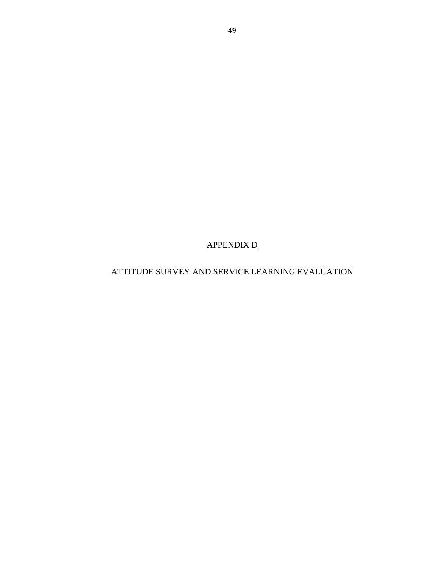APPENDIX D

ATTITUDE SURVEY AND SERVICE LEARNING EVALUATION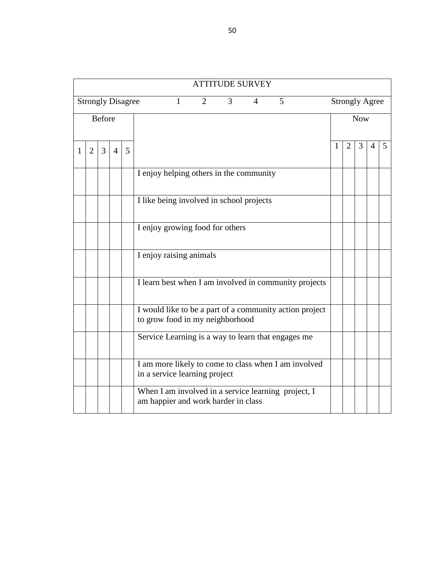|                                                                             |                |               |   |   | <b>ATTITUDE SURVEY</b>                                                                     |   |                       |            |                |   |
|-----------------------------------------------------------------------------|----------------|---------------|---|---|--------------------------------------------------------------------------------------------|---|-----------------------|------------|----------------|---|
| <b>Strongly Disagree</b><br>$\overline{2}$<br>3<br>5<br>1<br>$\overline{4}$ |                |               |   |   |                                                                                            |   | <b>Strongly Agree</b> |            |                |   |
|                                                                             |                | <b>Before</b> |   |   |                                                                                            |   |                       | <b>Now</b> |                |   |
| 1                                                                           | $\overline{2}$ | 3             | 4 | 5 |                                                                                            | 1 | 2                     | 3          | $\overline{4}$ | 5 |
|                                                                             |                |               |   |   | I enjoy helping others in the community                                                    |   |                       |            |                |   |
|                                                                             |                |               |   |   | I like being involved in school projects                                                   |   |                       |            |                |   |
|                                                                             |                |               |   |   | I enjoy growing food for others                                                            |   |                       |            |                |   |
|                                                                             |                |               |   |   | I enjoy raising animals                                                                    |   |                       |            |                |   |
|                                                                             |                |               |   |   | I learn best when I am involved in community projects                                      |   |                       |            |                |   |
|                                                                             |                |               |   |   | I would like to be a part of a community action project<br>to grow food in my neighborhood |   |                       |            |                |   |
|                                                                             |                |               |   |   | Service Learning is a way to learn that engages me                                         |   |                       |            |                |   |
|                                                                             |                |               |   |   | I am more likely to come to class when I am involved<br>in a service learning project      |   |                       |            |                |   |
|                                                                             |                |               |   |   | When I am involved in a service learning project, I<br>am happier and work harder in class |   |                       |            |                |   |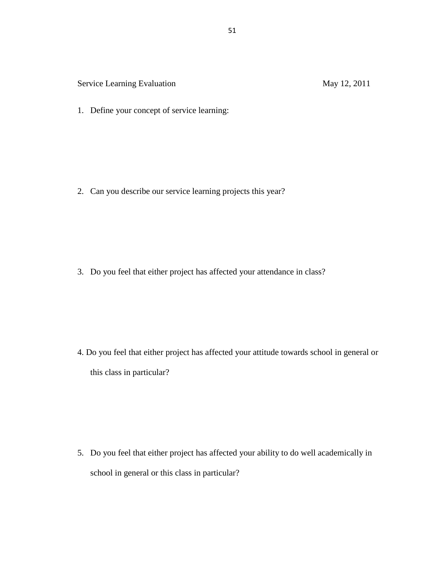Service Learning Evaluation May 12, 2011

1. Define your concept of service learning:

2. Can you describe our service learning projects this year?

3. Do you feel that either project has affected your attendance in class?

4. Do you feel that either project has affected your attitude towards school in general or this class in particular?

5. Do you feel that either project has affected your ability to do well academically in school in general or this class in particular?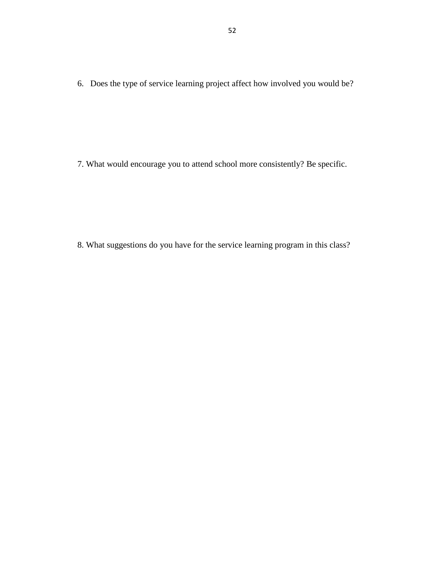6. Does the type of service learning project affect how involved you would be?

7. What would encourage you to attend school more consistently? Be specific.

8. What suggestions do you have for the service learning program in this class?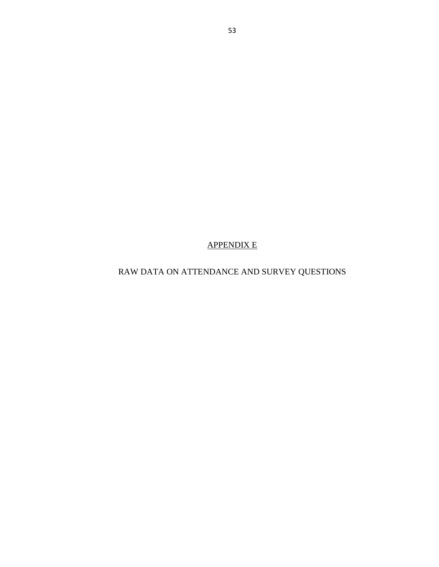# APPENDIX E

RAW DATA ON ATTENDANCE AND SURVEY QUESTIONS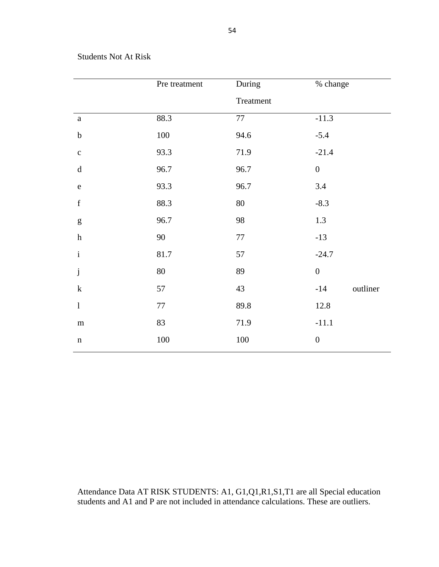### Students Not At Risk

|                                                                                                                                                                                                                                                                                                                                                                                                                                              | Pre treatment | During    | % change          |
|----------------------------------------------------------------------------------------------------------------------------------------------------------------------------------------------------------------------------------------------------------------------------------------------------------------------------------------------------------------------------------------------------------------------------------------------|---------------|-----------|-------------------|
|                                                                                                                                                                                                                                                                                                                                                                                                                                              |               | Treatment |                   |
| $\mathbf{a}$                                                                                                                                                                                                                                                                                                                                                                                                                                 | 88.3          | 77        | $-11.3$           |
| $\mathbf b$                                                                                                                                                                                                                                                                                                                                                                                                                                  | 100           | 94.6      | $-5.4$            |
| $\mathbf{C}$                                                                                                                                                                                                                                                                                                                                                                                                                                 | 93.3          | 71.9      | $-21.4$           |
| $\mathrm{d}% \left\  \mathbf{r}_{i}^{*}\right\  _{A_{i}}=\mathrm{d}\left\  \mathbf{r}_{i}^{*}\right\  _{A_{i}}=\mathrm{d}\left\  \mathbf{r}_{i}^{*}\right\  _{A_{i}}=\mathrm{d}\left\  \mathbf{r}_{i}^{*}\right\  _{A_{i}}=\mathrm{d}\left\  \mathbf{r}_{i}^{*}\right\  _{A_{i}}=\mathrm{d}\left\  \mathbf{r}_{i}^{*}\right\  _{A_{i}}=\mathrm{d}\left\  \mathbf{r}_{i}^{*}\right\  _{A_{i}}=\mathrm{d}\left\  \mathbf{r}_{i}^{*}\right\  _$ | 96.7          | 96.7      | $\boldsymbol{0}$  |
| ${\bf e}$                                                                                                                                                                                                                                                                                                                                                                                                                                    | 93.3          | 96.7      | 3.4               |
| $\mathbf f$                                                                                                                                                                                                                                                                                                                                                                                                                                  | 88.3          | $80\,$    | $-8.3$            |
| $\mathbf{g}% _{T}=\mathbf{g}_{T}=\mathbf{g}_{T}=\mathbf{g}_{T}=\mathbf{g}_{T}=\mathbf{g}_{T}=\mathbf{g}_{T}=\mathbf{g}_{T}=\mathbf{g}_{T}=\mathbf{g}_{T}=\mathbf{g}_{T}=\mathbf{g}_{T}=\mathbf{g}_{T}=\mathbf{g}_{T}=\mathbf{g}_{T}=\mathbf{g}_{T}=\mathbf{g}_{T}=\mathbf{g}_{T}=\mathbf{g}_{T}=\mathbf{g}_{T}=\mathbf{g}_{T}=\mathbf{g}_{T}=\mathbf{g}_{T}=\mathbf{g}_{T}=\mathbf{g}_{T}=\mathbf{g}_{T}=\mathbf{g}_{T}=\math$               | 96.7          | 98        | 1.3               |
| $\boldsymbol{\textbf{h}}$                                                                                                                                                                                                                                                                                                                                                                                                                    | $90\,$        | $77\,$    | $-13$             |
| $\rm i$                                                                                                                                                                                                                                                                                                                                                                                                                                      | 81.7          | 57        | $-24.7$           |
| $\mathbf{j}$                                                                                                                                                                                                                                                                                                                                                                                                                                 | 80            | 89        | $\boldsymbol{0}$  |
| $\mathbf k$                                                                                                                                                                                                                                                                                                                                                                                                                                  | 57            | 43        | outliner<br>$-14$ |
| $\bf{l}$                                                                                                                                                                                                                                                                                                                                                                                                                                     | $77\,$        | 89.8      | 12.8              |
| ${\bf m}$                                                                                                                                                                                                                                                                                                                                                                                                                                    | 83            | 71.9      | $-11.1$           |
| $\mathbf n$                                                                                                                                                                                                                                                                                                                                                                                                                                  | $100\,$       | $100\,$   | $\boldsymbol{0}$  |

Attendance Data AT RISK STUDENTS: A1, G1,Q1,R1,S1,T1 are all Special education students and A1 and P are not included in attendance calculations. These are outliers.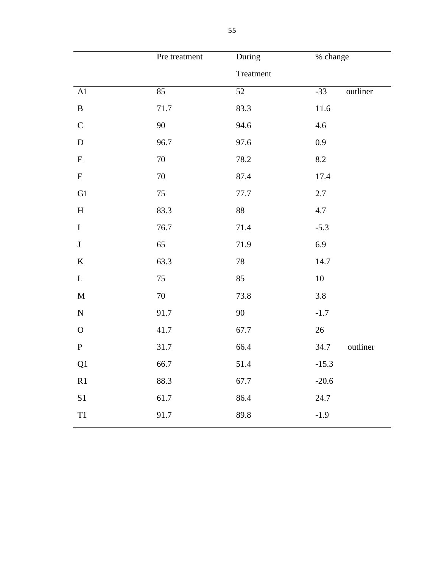|               | Pre treatment | During    | % change  |          |
|---------------|---------------|-----------|-----------|----------|
|               |               | Treatment |           |          |
| A1            | 85            | 52        | $-33$     | outliner |
| $\, {\bf B}$  | $71.7\,$      | 83.3      | $11.6\,$  |          |
| $\mathbf C$   | 90            | 94.6      | 4.6       |          |
| ${\bf D}$     | 96.7          | 97.6      | 0.9       |          |
| ${\bf E}$     | $70\,$        | 78.2      | $\ \ 8.2$ |          |
| ${\bf F}$     | $70\,$        | 87.4      | 17.4      |          |
| G1            | $75\,$        | 77.7      | $2.7\,$   |          |
| $\, {\rm H}$  | 83.3          | 88        | 4.7       |          |
| $\bf I$       | 76.7          | 71.4      | $-5.3$    |          |
| $\bf J$       | 65            | 71.9      | 6.9       |          |
| $\bf K$       | 63.3          | 78        | 14.7      |          |
| $\mathbf L$   | 75            | 85        | 10        |          |
| $\mathbf M$   | $70\,$        | 73.8      | $3.8\,$   |          |
| ${\bf N}$     | 91.7          | 90        | $-1.7$    |          |
| ${\bf O}$     | 41.7          | 67.7      | 26        |          |
| ${\bf P}$     | 31.7          | 66.4      | 34.7      | outliner |
| Q1            | 66.7          | 51.4      | $-15.3$   |          |
| R1            | 88.3          | 67.7      | $-20.6$   |          |
| $\mathbf{S}1$ | 61.7          | 86.4      | 24.7      |          |
| $\mathbf{T}1$ | 91.7          | 89.8      | $-1.9$    |          |
|               |               |           |           |          |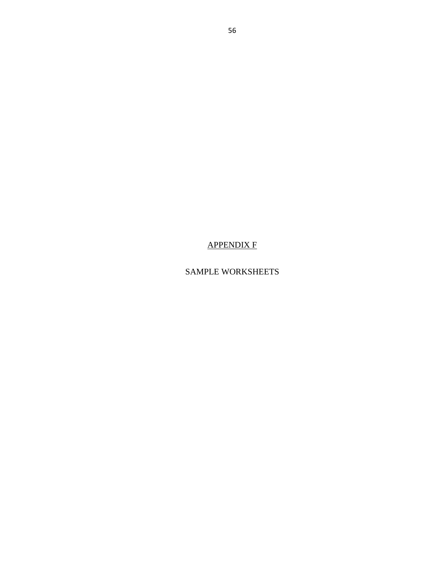APPENDIX F

SAMPLE WORKSHEETS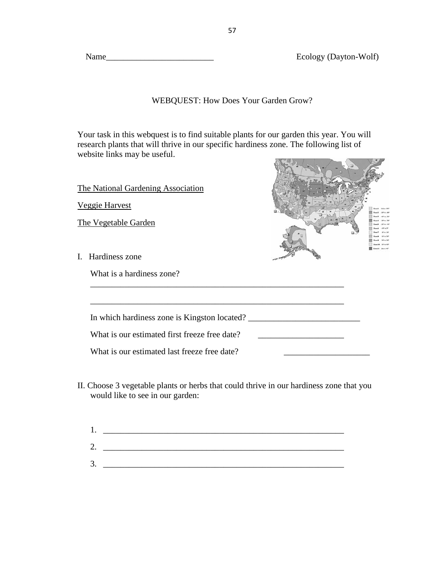Ecology (Dayton-Wolf)

 $-11 - 1$ 

## WEBQUEST: How Does Your Garden Grow?

Your task in this webquest is to find suitable plants for our garden this year. You will research plants that will thrive in our specific hardiness zone. The following list of website links may be useful.

| The National Gardening Association<br><b>Veggie Harvest</b>                                                                                   |  |
|-----------------------------------------------------------------------------------------------------------------------------------------------|--|
| The Vegetable Garden                                                                                                                          |  |
| I. Hardiness zone<br>What is a hardiness zone?                                                                                                |  |
| In which hardiness zone is Kingston located?<br>What is our estimated first freeze free date?<br>What is our estimated last freeze free date? |  |

II. Choose 3 vegetable plants or herbs that could thrive in our hardiness zone that you would like to see in our garden:

| ı.       |  |
|----------|--|
| ⌒<br>ـ ت |  |
| 3.       |  |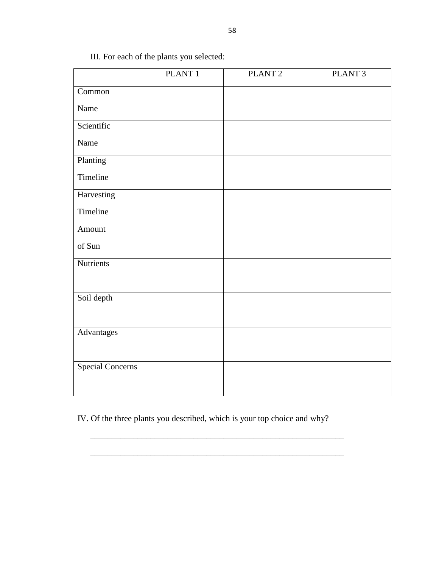|                         | PLANT <sub>1</sub> | PLANT <sub>2</sub> | PLANT <sub>3</sub> |
|-------------------------|--------------------|--------------------|--------------------|
| Common                  |                    |                    |                    |
| Name                    |                    |                    |                    |
| Scientific              |                    |                    |                    |
| Name                    |                    |                    |                    |
| Planting                |                    |                    |                    |
| Timeline                |                    |                    |                    |
| Harvesting              |                    |                    |                    |
| Timeline                |                    |                    |                    |
| Amount                  |                    |                    |                    |
| of Sun                  |                    |                    |                    |
| Nutrients               |                    |                    |                    |
|                         |                    |                    |                    |
| Soil depth              |                    |                    |                    |
|                         |                    |                    |                    |
| Advantages              |                    |                    |                    |
|                         |                    |                    |                    |
| <b>Special Concerns</b> |                    |                    |                    |
|                         |                    |                    |                    |

III. For each of the plants you selected:

IV. Of the three plants you described, which is your top choice and why?

\_\_\_\_\_\_\_\_\_\_\_\_\_\_\_\_\_\_\_\_\_\_\_\_\_\_\_\_\_\_\_\_\_\_\_\_\_\_\_\_\_\_\_\_\_\_\_\_\_\_\_\_\_\_\_\_\_\_\_

\_\_\_\_\_\_\_\_\_\_\_\_\_\_\_\_\_\_\_\_\_\_\_\_\_\_\_\_\_\_\_\_\_\_\_\_\_\_\_\_\_\_\_\_\_\_\_\_\_\_\_\_\_\_\_\_\_\_\_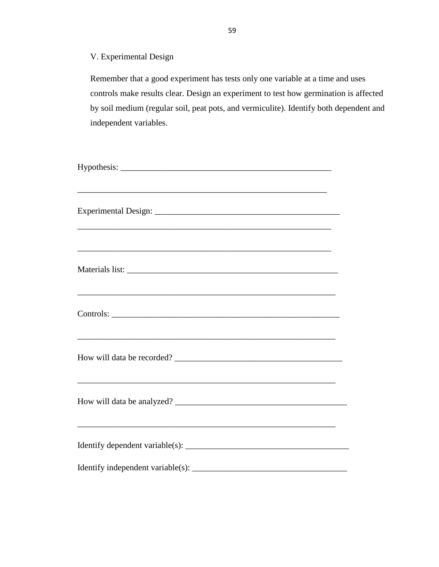V. Experimental Design

Remember that a good experiment has tests only one variable at a time and uses controls make results clear. Design an experiment to test how germination is affected by soil medium (regular soil, peat pots, and vermiculite). Identify both dependent and independent variables.

| and the control of the control of the control of the control of the control of the control of the control of the                                                                |  |
|---------------------------------------------------------------------------------------------------------------------------------------------------------------------------------|--|
|                                                                                                                                                                                 |  |
| <u> 1989 - Johann Stoff, amerikansk politiker (d. 1989)</u><br>and the control of the control of the control of the control of the control of the control of the control of the |  |
|                                                                                                                                                                                 |  |
| <u> 1989 - Johann Stoff, amerikansk politiker (d. 1989)</u>                                                                                                                     |  |
|                                                                                                                                                                                 |  |
| ,我们也不能在这里的时候,我们也不能在这里的时候,我们也不能会在这里的时候,我们也不能会在这里的时候,我们也不能会在这里的时候,我们也不能会在这里的时候,我们也不                                                                                               |  |
| ,我们也不会有什么。""我们的人,我们也不会有什么?""我们的人,我们也不会有什么?""我们的人,我们的人,我们的人,我们的人,我们的人,我们的人,我们的人,我                                                                                                |  |
|                                                                                                                                                                                 |  |